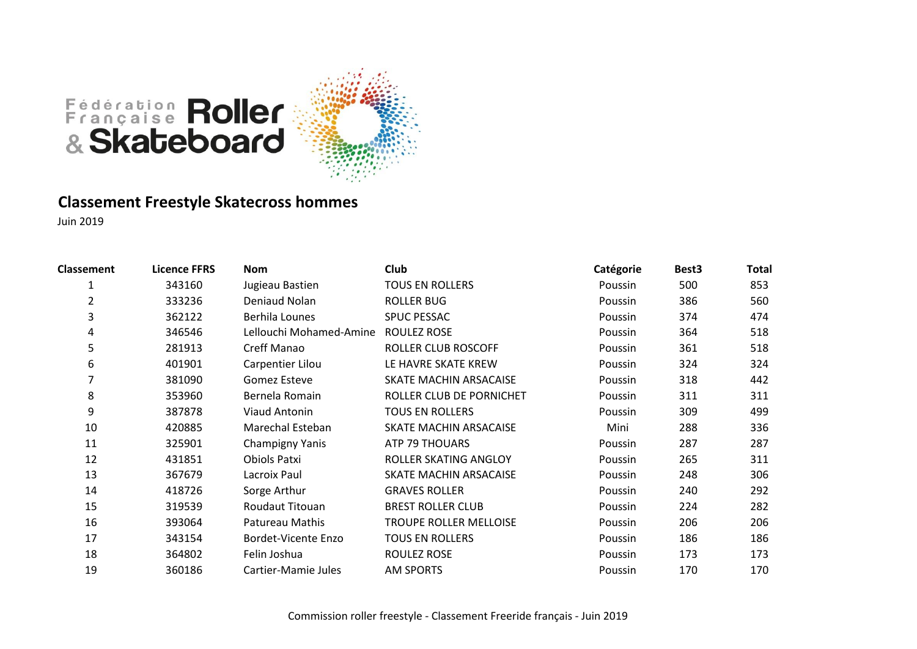

#### **Classement Freestyle Skatecross hommes**

| <b>Classement</b> | <b>Licence FFRS</b> | <b>Nom</b>                 | Club                     | Catégorie | Best <sub>3</sub> | <b>Total</b> |
|-------------------|---------------------|----------------------------|--------------------------|-----------|-------------------|--------------|
| 1                 | 343160              | Jugieau Bastien            | <b>TOUS EN ROLLERS</b>   | Poussin   | 500               | 853          |
| 2                 | 333236              | Deniaud Nolan              | <b>ROLLER BUG</b>        | Poussin   | 386               | 560          |
| 3                 | 362122              | Berhila Lounes             | <b>SPUC PESSAC</b>       | Poussin   | 374               | 474          |
| 4                 | 346546              | Lellouchi Mohamed-Amine    | ROULEZ ROSE              | Poussin   | 364               | 518          |
| 5                 | 281913              | Creff Manao                | ROLLER CLUB ROSCOFF      | Poussin   | 361               | 518          |
| 6                 | 401901              | Carpentier Lilou           | LE HAVRE SKATE KREW      | Poussin   | 324               | 324          |
|                   | 381090              | Gomez Esteve               | SKATE MACHIN ARSACAISE   | Poussin   | 318               | 442          |
| 8                 | 353960              | Bernela Romain             | ROLLER CLUB DE PORNICHET | Poussin   | 311               | 311          |
| 9                 | 387878              | <b>Viaud Antonin</b>       | <b>TOUS EN ROLLERS</b>   | Poussin   | 309               | 499          |
| 10                | 420885              | Marechal Esteban           | SKATE MACHIN ARSACAISE   | Mini      | 288               | 336          |
| 11                | 325901              | Champigny Yanis            | ATP 79 THOUARS           | Poussin   | 287               | 287          |
| 12                | 431851              | Obiols Patxi               | ROLLER SKATING ANGLOY    | Poussin   | 265               | 311          |
| 13                | 367679              | Lacroix Paul               | SKATE MACHIN ARSACAISE   | Poussin   | 248               | 306          |
| 14                | 418726              | Sorge Arthur               | <b>GRAVES ROLLER</b>     | Poussin   | 240               | 292          |
| 15                | 319539              | Roudaut Titouan            | <b>BREST ROLLER CLUB</b> | Poussin   | 224               | 282          |
| 16                | 393064              | Patureau Mathis            | TROUPE ROLLER MELLOISE   | Poussin   | 206               | 206          |
| 17                | 343154              | <b>Bordet-Vicente Enzo</b> | <b>TOUS EN ROLLERS</b>   | Poussin   | 186               | 186          |
| 18                | 364802              | Felin Joshua               | <b>ROULEZ ROSE</b>       | Poussin   | 173               | 173          |
| 19                | 360186              | Cartier-Mamie Jules        | <b>AM SPORTS</b>         | Poussin   | 170               | 170          |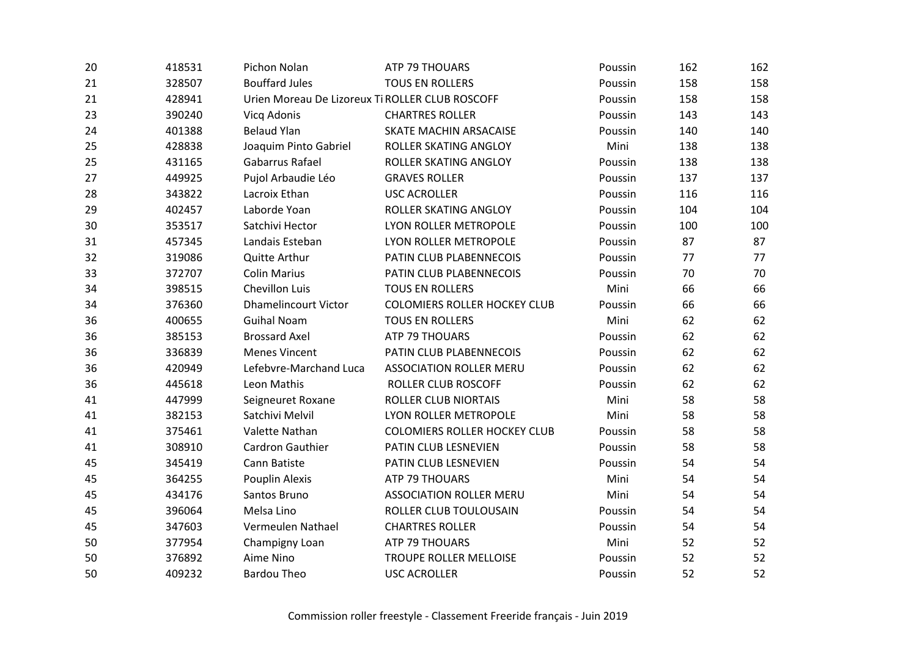| 20 | 418531 | Pichon Nolan                                    | <b>ATP 79 THOUARS</b>               | Poussin | 162 | 162 |
|----|--------|-------------------------------------------------|-------------------------------------|---------|-----|-----|
| 21 | 328507 | <b>Bouffard Jules</b>                           | <b>TOUS EN ROLLERS</b>              | Poussin | 158 | 158 |
| 21 | 428941 | Urien Moreau De Lizoreux Ti ROLLER CLUB ROSCOFF |                                     | Poussin | 158 | 158 |
| 23 | 390240 | Vicq Adonis                                     | <b>CHARTRES ROLLER</b>              | Poussin | 143 | 143 |
| 24 | 401388 | <b>Belaud Ylan</b>                              | SKATE MACHIN ARSACAISE              | Poussin | 140 | 140 |
| 25 | 428838 | Joaquim Pinto Gabriel                           | ROLLER SKATING ANGLOY               | Mini    | 138 | 138 |
| 25 | 431165 | Gabarrus Rafael                                 | ROLLER SKATING ANGLOY               | Poussin | 138 | 138 |
| 27 | 449925 | Pujol Arbaudie Léo                              | <b>GRAVES ROLLER</b>                | Poussin | 137 | 137 |
| 28 | 343822 | Lacroix Ethan                                   | <b>USC ACROLLER</b>                 | Poussin | 116 | 116 |
| 29 | 402457 | Laborde Yoan                                    | ROLLER SKATING ANGLOY               | Poussin | 104 | 104 |
| 30 | 353517 | Satchivi Hector                                 | LYON ROLLER METROPOLE               | Poussin | 100 | 100 |
| 31 | 457345 | Landais Esteban                                 | LYON ROLLER METROPOLE               | Poussin | 87  | 87  |
| 32 | 319086 | Quitte Arthur                                   | PATIN CLUB PLABENNECOIS             | Poussin | 77  | 77  |
| 33 | 372707 | <b>Colin Marius</b>                             | PATIN CLUB PLABENNECOIS             | Poussin | 70  | 70  |
| 34 | 398515 | Chevillon Luis                                  | <b>TOUS EN ROLLERS</b>              | Mini    | 66  | 66  |
| 34 | 376360 | <b>Dhamelincourt Victor</b>                     | <b>COLOMIERS ROLLER HOCKEY CLUB</b> | Poussin | 66  | 66  |
| 36 | 400655 | <b>Guihal Noam</b>                              | <b>TOUS EN ROLLERS</b>              | Mini    | 62  | 62  |
| 36 | 385153 | <b>Brossard Axel</b>                            | ATP 79 THOUARS                      | Poussin | 62  | 62  |
| 36 | 336839 | <b>Menes Vincent</b>                            | PATIN CLUB PLABENNECOIS             | Poussin | 62  | 62  |
| 36 | 420949 | Lefebvre-Marchand Luca                          | <b>ASSOCIATION ROLLER MERU</b>      | Poussin | 62  | 62  |
| 36 | 445618 | Leon Mathis                                     | ROLLER CLUB ROSCOFF                 | Poussin | 62  | 62  |
| 41 | 447999 | Seigneuret Roxane                               | <b>ROLLER CLUB NIORTAIS</b>         | Mini    | 58  | 58  |
| 41 | 382153 | Satchivi Melvil                                 | LYON ROLLER METROPOLE               | Mini    | 58  | 58  |
| 41 | 375461 | Valette Nathan                                  | <b>COLOMIERS ROLLER HOCKEY CLUB</b> | Poussin | 58  | 58  |
| 41 | 308910 | Cardron Gauthier                                | PATIN CLUB LESNEVIEN                | Poussin | 58  | 58  |
| 45 | 345419 | Cann Batiste                                    | PATIN CLUB LESNEVIEN                | Poussin | 54  | 54  |
| 45 | 364255 | Pouplin Alexis                                  | ATP 79 THOUARS                      | Mini    | 54  | 54  |
| 45 | 434176 | Santos Bruno                                    | <b>ASSOCIATION ROLLER MERU</b>      | Mini    | 54  | 54  |
| 45 | 396064 | Melsa Lino                                      | ROLLER CLUB TOULOUSAIN              | Poussin | 54  | 54  |
| 45 | 347603 | Vermeulen Nathael                               | <b>CHARTRES ROLLER</b>              | Poussin | 54  | 54  |
| 50 | 377954 | Champigny Loan                                  | ATP 79 THOUARS                      | Mini    | 52  | 52  |
| 50 | 376892 | Aime Nino                                       | TROUPE ROLLER MELLOISE              | Poussin | 52  | 52  |
| 50 | 409232 | <b>Bardou Theo</b>                              | <b>USC ACROLLER</b>                 | Poussin | 52  | 52  |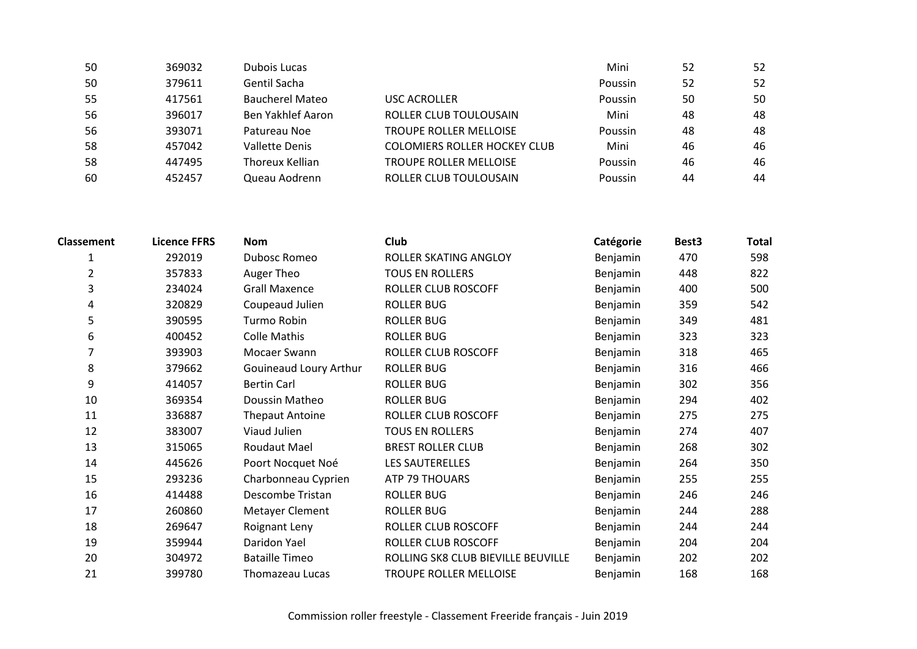| 50  | 369032 | Dubois Lucas           |                                     | Mini           | 52 | 52 |
|-----|--------|------------------------|-------------------------------------|----------------|----|----|
| 50  | 379611 | Gentil Sacha           |                                     | Poussin        | 52 | 52 |
| 55  | 417561 | <b>Baucherel Mateo</b> | USC ACROLLER                        | Poussin        | 50 | 50 |
| -56 | 396017 | Ben Yakhlef Aaron      | ROLLER CLUB TOULOUSAIN              | Mini           | 48 | 48 |
| 56  | 393071 | Patureau Noe           | <b>TROUPE ROLLER MELLOISE</b>       | Poussin        | 48 | 48 |
| 58  | 457042 | Vallette Denis         | <b>COLOMIERS ROLLER HOCKEY CLUB</b> | Mini           | 46 | 46 |
| 58  | 447495 | Thoreux Kellian        | <b>TROUPE ROLLER MELLOISE</b>       | <b>Poussin</b> | 46 | 46 |
| 60  | 452457 | Queau Aodrenn          | ROLLER CLUB TOULOUSAIN              | Poussin        | 44 | 44 |

| <b>Classement</b> | <b>Licence FFRS</b> | <b>Nom</b>             | Club                               | Catégorie | Best <sub>3</sub> | Total |
|-------------------|---------------------|------------------------|------------------------------------|-----------|-------------------|-------|
|                   | 292019              | Dubosc Romeo           | ROLLER SKATING ANGLOY              | Benjamin  | 470               | 598   |
| 2                 | 357833              | Auger Theo             | <b>TOUS EN ROLLERS</b>             | Benjamin  | 448               | 822   |
| 3                 | 234024              | <b>Grall Maxence</b>   | ROLLER CLUB ROSCOFF                | Benjamin  | 400               | 500   |
| 4                 | 320829              | Coupeaud Julien        | <b>ROLLER BUG</b>                  | Benjamin  | 359               | 542   |
| 5                 | 390595              | Turmo Robin            | <b>ROLLER BUG</b>                  | Benjamin  | 349               | 481   |
| 6                 | 400452              | <b>Colle Mathis</b>    | <b>ROLLER BUG</b>                  | Benjamin  | 323               | 323   |
|                   | 393903              | Mocaer Swann           | ROLLER CLUB ROSCOFF                | Benjamin  | 318               | 465   |
| 8                 | 379662              | Gouineaud Loury Arthur | <b>ROLLER BUG</b>                  | Benjamin  | 316               | 466   |
| 9                 | 414057              | <b>Bertin Carl</b>     | <b>ROLLER BUG</b>                  | Benjamin  | 302               | 356   |
| 10                | 369354              | Doussin Matheo         | <b>ROLLER BUG</b>                  | Benjamin  | 294               | 402   |
| 11                | 336887              | <b>Thepaut Antoine</b> | ROLLER CLUB ROSCOFF                | Benjamin  | 275               | 275   |
| 12                | 383007              | Viaud Julien           | <b>TOUS EN ROLLERS</b>             | Benjamin  | 274               | 407   |
| 13                | 315065              | Roudaut Mael           | <b>BREST ROLLER CLUB</b>           | Benjamin  | 268               | 302   |
| 14                | 445626              | Poort Nocquet Noé      | LES SAUTERELLES                    | Benjamin  | 264               | 350   |
| 15                | 293236              | Charbonneau Cyprien    | ATP 79 THOUARS                     | Benjamin  | 255               | 255   |
| 16                | 414488              | Descombe Tristan       | <b>ROLLER BUG</b>                  | Benjamin  | 246               | 246   |
| 17                | 260860              | Metayer Clement        | <b>ROLLER BUG</b>                  | Benjamin  | 244               | 288   |
| 18                | 269647              | Roignant Leny          | ROLLER CLUB ROSCOFF                | Benjamin  | 244               | 244   |
| 19                | 359944              | Daridon Yael           | ROLLER CLUB ROSCOFF                | Benjamin  | 204               | 204   |
| 20                | 304972              | <b>Bataille Timeo</b>  | ROLLING SK8 CLUB BIEVILLE BEUVILLE | Benjamin  | 202               | 202   |
| 21                | 399780              | Thomazeau Lucas        | TROUPE ROLLER MELLOISE             | Benjamin  | 168               | 168   |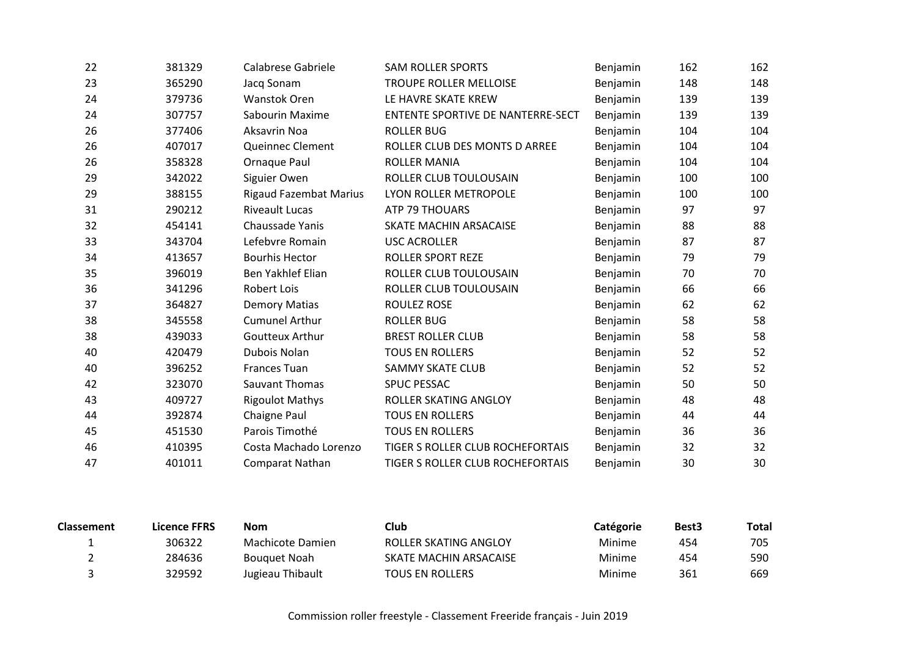| 22 | 381329 | Calabrese Gabriele            | <b>SAM ROLLER SPORTS</b>                 | Benjamin        | 162 | 162 |
|----|--------|-------------------------------|------------------------------------------|-----------------|-----|-----|
| 23 | 365290 | Jacq Sonam                    | TROUPE ROLLER MELLOISE                   | Benjamin        | 148 | 148 |
| 24 | 379736 | <b>Wanstok Oren</b>           | LE HAVRE SKATE KREW                      | Benjamin        | 139 | 139 |
| 24 | 307757 | Sabourin Maxime               | <b>ENTENTE SPORTIVE DE NANTERRE-SECT</b> | Benjamin        | 139 | 139 |
| 26 | 377406 | Aksavrin Noa                  | <b>ROLLER BUG</b>                        | Benjamin        | 104 | 104 |
| 26 | 407017 | Queinnec Clement              | ROLLER CLUB DES MONTS D ARREE            | Benjamin        | 104 | 104 |
| 26 | 358328 | Ornaque Paul                  | <b>ROLLER MANIA</b>                      | Benjamin        | 104 | 104 |
| 29 | 342022 | Siguier Owen                  | ROLLER CLUB TOULOUSAIN                   | Benjamin        | 100 | 100 |
| 29 | 388155 | <b>Rigaud Fazembat Marius</b> | LYON ROLLER METROPOLE                    | Benjamin        | 100 | 100 |
| 31 | 290212 | <b>Riveault Lucas</b>         | ATP 79 THOUARS                           | Benjamin        | 97  | 97  |
| 32 | 454141 | Chaussade Yanis               | SKATE MACHIN ARSACAISE                   | Benjamin        | 88  | 88  |
| 33 | 343704 | Lefebvre Romain               | <b>USC ACROLLER</b>                      | Benjamin        | 87  | 87  |
| 34 | 413657 | <b>Bourhis Hector</b>         | ROLLER SPORT REZE                        | Benjamin        | 79  | 79  |
| 35 | 396019 | <b>Ben Yakhlef Elian</b>      | ROLLER CLUB TOULOUSAIN                   | Benjamin        | 70  | 70  |
| 36 | 341296 | <b>Robert Lois</b>            | ROLLER CLUB TOULOUSAIN                   | Benjamin        | 66  | 66  |
| 37 | 364827 | <b>Demory Matias</b>          | <b>ROULEZ ROSE</b>                       | Benjamin        | 62  | 62  |
| 38 | 345558 | <b>Cumunel Arthur</b>         | <b>ROLLER BUG</b>                        | Benjamin        | 58  | 58  |
| 38 | 439033 | <b>Goutteux Arthur</b>        | <b>BREST ROLLER CLUB</b>                 | Benjamin        | 58  | 58  |
| 40 | 420479 | Dubois Nolan                  | <b>TOUS EN ROLLERS</b>                   | Benjamin        | 52  | 52  |
| 40 | 396252 | <b>Frances Tuan</b>           | <b>SAMMY SKATE CLUB</b>                  | Benjamin        | 52  | 52  |
| 42 | 323070 | Sauvant Thomas                | <b>SPUC PESSAC</b>                       | Benjamin        | 50  | 50  |
| 43 | 409727 | <b>Rigoulot Mathys</b>        | ROLLER SKATING ANGLOY                    | Benjamin        | 48  | 48  |
| 44 | 392874 | <b>Chaigne Paul</b>           | <b>TOUS EN ROLLERS</b>                   | <b>Benjamin</b> | 44  | 44  |
| 45 | 451530 | Parois Timothé                | <b>TOUS EN ROLLERS</b>                   | Benjamin        | 36  | 36  |
| 46 | 410395 | Costa Machado Lorenzo         | TIGER S ROLLER CLUB ROCHEFORTAIS         | Benjamin        | 32  | 32  |
| 47 | 401011 | Comparat Nathan               | TIGER S ROLLER CLUB ROCHEFORTAIS         | Benjamin        | 30  | 30  |

| <b>Classement</b> | Licence FFRS | Nom                 | Club                   | Catégorie | Best <sub>3</sub> | Total |
|-------------------|--------------|---------------------|------------------------|-----------|-------------------|-------|
|                   | 306322       | Machicote Damien    | ROLLER SKATING ANGLOY  | Minime    | 454               | 705   |
|                   | 284636       | <b>Bouguet Noah</b> | SKATE MACHIN ARSACAISE | Minime    | 454               | 590   |
|                   | 329592       | Jugieau Thibault    | <b>TOUS EN ROLLERS</b> | Minime    | 361               | 669   |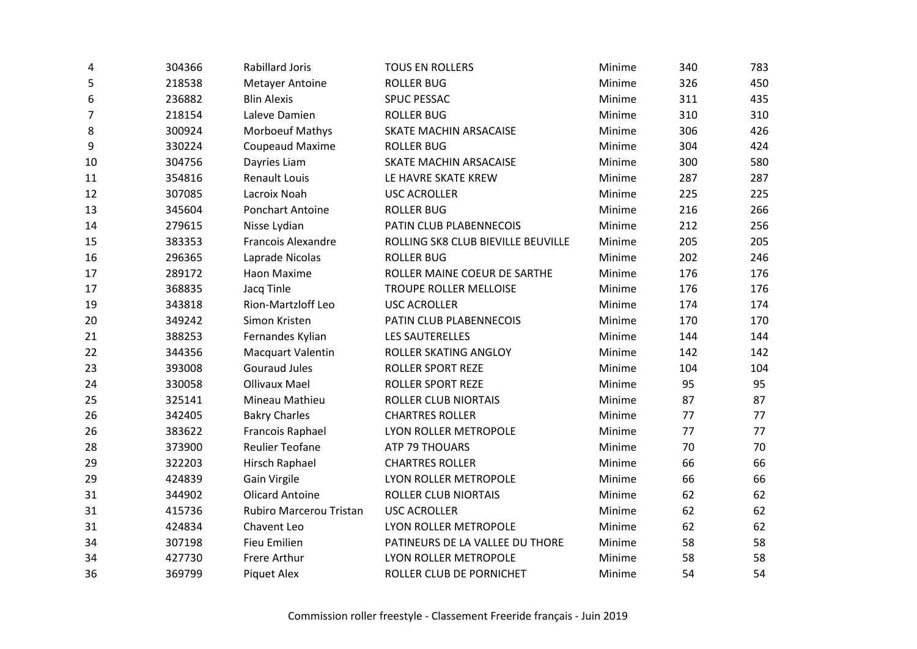| 4  | 304366 | <b>Rabillard Joris</b>    | <b>TOUS EN ROLLERS</b>             | Minime | 340 | 783 |
|----|--------|---------------------------|------------------------------------|--------|-----|-----|
| 5  | 218538 | <b>Metayer Antoine</b>    | <b>ROLLER BUG</b>                  | Minime | 326 | 450 |
| 6  | 236882 | <b>Blin Alexis</b>        | SPUC PESSAC                        | Minime | 311 | 435 |
| 7  | 218154 | Laleve Damien             | <b>ROLLER BUG</b>                  | Minime | 310 | 310 |
| 8  | 300924 | <b>Morboeuf Mathys</b>    | SKATE MACHIN ARSACAISE             | Minime | 306 | 426 |
| 9  | 330224 | <b>Coupeaud Maxime</b>    | <b>ROLLER BUG</b>                  | Minime | 304 | 424 |
| 10 | 304756 | Dayries Liam              | SKATE MACHIN ARSACAISE             | Minime | 300 | 580 |
| 11 | 354816 | <b>Renault Louis</b>      | LE HAVRE SKATE KREW                | Minime | 287 | 287 |
| 12 | 307085 | Lacroix Noah              | <b>USC ACROLLER</b>                | Minime | 225 | 225 |
| 13 | 345604 | Ponchart Antoine          | <b>ROLLER BUG</b>                  | Minime | 216 | 266 |
| 14 | 279615 | Nisse Lydian              | PATIN CLUB PLABENNECOIS            | Minime | 212 | 256 |
| 15 | 383353 | <b>Francois Alexandre</b> | ROLLING SK8 CLUB BIEVILLE BEUVILLE | Minime | 205 | 205 |
| 16 | 296365 | Laprade Nicolas           | <b>ROLLER BUG</b>                  | Minime | 202 | 246 |
| 17 | 289172 | Haon Maxime               | ROLLER MAINE COEUR DE SARTHE       | Minime | 176 | 176 |
| 17 | 368835 | Jacq Tinle                | TROUPE ROLLER MELLOISE             | Minime | 176 | 176 |
| 19 | 343818 | <b>Rion-Martzloff Leo</b> | <b>USC ACROLLER</b>                | Minime | 174 | 174 |
| 20 | 349242 | Simon Kristen             | PATIN CLUB PLABENNECOIS            | Minime | 170 | 170 |
| 21 | 388253 | Fernandes Kylian          | <b>LES SAUTERELLES</b>             | Minime | 144 | 144 |
| 22 | 344356 | <b>Macquart Valentin</b>  | ROLLER SKATING ANGLOY              | Minime | 142 | 142 |
| 23 | 393008 | <b>Gouraud Jules</b>      | <b>ROLLER SPORT REZE</b>           | Minime | 104 | 104 |
| 24 | 330058 | <b>Ollivaux Mael</b>      | <b>ROLLER SPORT REZE</b>           | Minime | 95  | 95  |
| 25 | 325141 | Mineau Mathieu            | <b>ROLLER CLUB NIORTAIS</b>        | Minime | 87  | 87  |
| 26 | 342405 | <b>Bakry Charles</b>      | <b>CHARTRES ROLLER</b>             | Minime | 77  | 77  |
| 26 | 383622 | Francois Raphael          | LYON ROLLER METROPOLE              | Minime | 77  | 77  |
| 28 | 373900 | <b>Reulier Teofane</b>    | ATP 79 THOUARS                     | Minime | 70  | 70  |
| 29 | 322203 | Hirsch Raphael            | <b>CHARTRES ROLLER</b>             | Minime | 66  | 66  |
| 29 | 424839 | Gain Virgile              | LYON ROLLER METROPOLE              | Minime | 66  | 66  |
| 31 | 344902 | <b>Olicard Antoine</b>    | <b>ROLLER CLUB NIORTAIS</b>        | Minime | 62  | 62  |
| 31 | 415736 | Rubiro Marcerou Tristan   | <b>USC ACROLLER</b>                | Minime | 62  | 62  |
| 31 | 424834 | Chavent Leo               | LYON ROLLER METROPOLE              | Minime | 62  | 62  |
| 34 | 307198 | <b>Fieu Emilien</b>       | PATINEURS DE LA VALLEE DU THORE    | Minime | 58  | 58  |
| 34 | 427730 | Frere Arthur              | LYON ROLLER METROPOLE              | Minime | 58  | 58  |
| 36 | 369799 | <b>Piquet Alex</b>        | ROLLER CLUB DE PORNICHET           | Minime | 54  | 54  |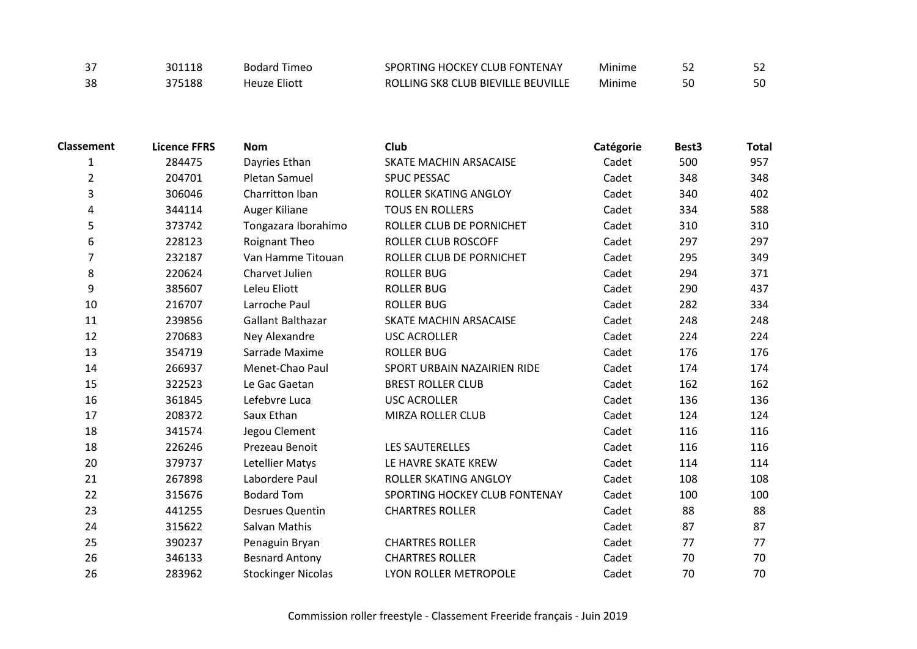| $\sim$ $-$<br>، ر | 301118 | Bodard Timeo        | SPORTING HOCKEY CLUB FONTENAY      | Mınıme |  |
|-------------------|--------|---------------------|------------------------------------|--------|--|
| 38                | 375188 | <b>Heuze Eliott</b> | ROLLING SK8 CLUB BIEVILLE BEUVILLE | Minime |  |

| <b>Classement</b> | <b>Licence FFRS</b> | <b>Nom</b>                | Club                          | Catégorie | Best3 | <b>Total</b> |
|-------------------|---------------------|---------------------------|-------------------------------|-----------|-------|--------------|
| $\mathbf{1}$      | 284475              | Dayries Ethan             | SKATE MACHIN ARSACAISE        | Cadet     | 500   | 957          |
| $\overline{2}$    | 204701              | <b>Pletan Samuel</b>      | <b>SPUC PESSAC</b>            | Cadet     | 348   | 348          |
| 3                 | 306046              | Charritton Iban           | ROLLER SKATING ANGLOY         | Cadet     | 340   | 402          |
| 4                 | 344114              | Auger Kiliane             | <b>TOUS EN ROLLERS</b>        | Cadet     | 334   | 588          |
| 5                 | 373742              | Tongazara Iborahimo       | ROLLER CLUB DE PORNICHET      | Cadet     | 310   | 310          |
| 6                 | 228123              | Roignant Theo             | ROLLER CLUB ROSCOFF           | Cadet     | 297   | 297          |
| $\overline{7}$    | 232187              | Van Hamme Titouan         | ROLLER CLUB DE PORNICHET      | Cadet     | 295   | 349          |
| 8                 | 220624              | Charvet Julien            | <b>ROLLER BUG</b>             | Cadet     | 294   | 371          |
| 9                 | 385607              | Leleu Eliott              | <b>ROLLER BUG</b>             | Cadet     | 290   | 437          |
| 10                | 216707              | Larroche Paul             | <b>ROLLER BUG</b>             | Cadet     | 282   | 334          |
| 11                | 239856              | Gallant Balthazar         | <b>SKATE MACHIN ARSACAISE</b> | Cadet     | 248   | 248          |
| 12                | 270683              | Ney Alexandre             | <b>USC ACROLLER</b>           | Cadet     | 224   | 224          |
| 13                | 354719              | Sarrade Maxime            | <b>ROLLER BUG</b>             | Cadet     | 176   | 176          |
| 14                | 266937              | Menet-Chao Paul           | SPORT URBAIN NAZAIRIEN RIDE   | Cadet     | 174   | 174          |
| 15                | 322523              | Le Gac Gaetan             | <b>BREST ROLLER CLUB</b>      | Cadet     | 162   | 162          |
| 16                | 361845              | Lefebvre Luca             | <b>USC ACROLLER</b>           | Cadet     | 136   | 136          |
| 17                | 208372              | Saux Ethan                | MIRZA ROLLER CLUB             | Cadet     | 124   | 124          |
| 18                | 341574              | Jegou Clement             |                               | Cadet     | 116   | 116          |
| 18                | 226246              | Prezeau Benoit            | <b>LES SAUTERELLES</b>        | Cadet     | 116   | 116          |
| 20                | 379737              | Letellier Matys           | LE HAVRE SKATE KREW           | Cadet     | 114   | 114          |
| 21                | 267898              | Labordere Paul            | ROLLER SKATING ANGLOY         | Cadet     | 108   | 108          |
| 22                | 315676              | <b>Bodard Tom</b>         | SPORTING HOCKEY CLUB FONTENAY | Cadet     | 100   | 100          |
| 23                | 441255              | <b>Desrues Quentin</b>    | <b>CHARTRES ROLLER</b>        | Cadet     | 88    | 88           |
| 24                | 315622              | Salvan Mathis             |                               | Cadet     | 87    | 87           |
| 25                | 390237              | Penaguin Bryan            | <b>CHARTRES ROLLER</b>        | Cadet     | 77    | 77           |
| 26                | 346133              | <b>Besnard Antony</b>     | <b>CHARTRES ROLLER</b>        | Cadet     | 70    | 70           |
| 26                | 283962              | <b>Stockinger Nicolas</b> | LYON ROLLER METROPOLE         | Cadet     | 70    | 70           |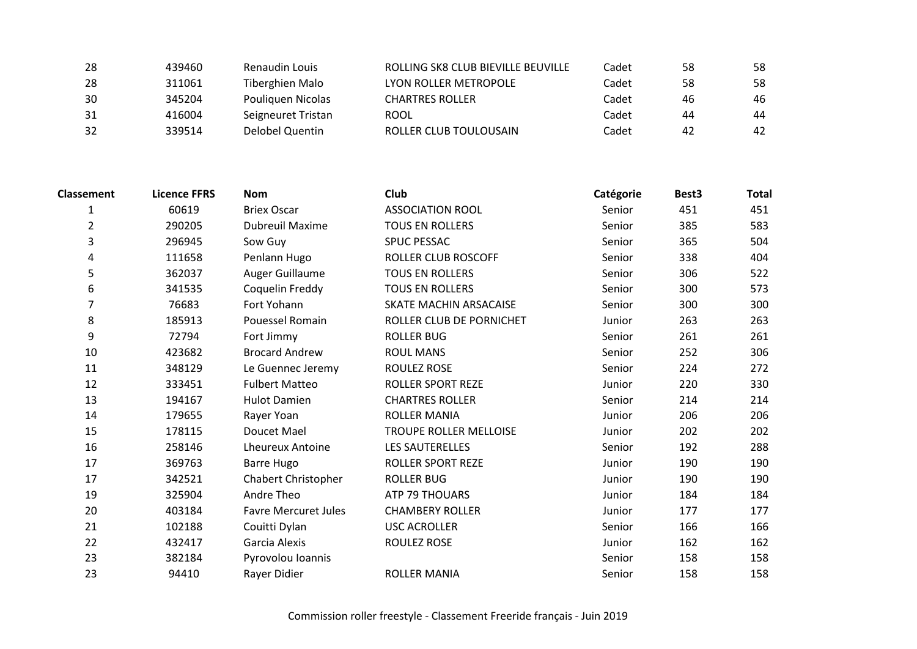| 28 | 439460 | Renaudin Louis     | ROLLING SK8 CLUB BIEVILLE BEUVILLE | Cadet | -58 | 58 |
|----|--------|--------------------|------------------------------------|-------|-----|----|
| 28 | 311061 | Tiberghien Malo    | LYON ROLLER METROPOLE              | Cadet | 58  | 58 |
| 30 | 345204 | Pouliquen Nicolas  | CHARTRES ROLLER                    | Cadet | 46  | 46 |
| 31 | 416004 | Seigneuret Tristan | ROOL                               | Cadet | 44  | 44 |
| 32 | 339514 | Delobel Quentin    | ROLLER CLUB TOULOUSAIN             | Cadet | 42  | 42 |

| <b>Classement</b> | <b>Licence FFRS</b> | <b>Nom</b>                  | Club                          | Catégorie | Best3 | <b>Total</b> |
|-------------------|---------------------|-----------------------------|-------------------------------|-----------|-------|--------------|
| 1                 | 60619               | <b>Briex Oscar</b>          | <b>ASSOCIATION ROOL</b>       | Senior    | 451   | 451          |
| $\overline{2}$    | 290205              | <b>Dubreuil Maxime</b>      | <b>TOUS EN ROLLERS</b>        | Senior    | 385   | 583          |
| 3                 | 296945              | Sow Guy                     | <b>SPUC PESSAC</b>            | Senior    | 365   | 504          |
| 4                 | 111658              | Penlann Hugo                | <b>ROLLER CLUB ROSCOFF</b>    | Senior    | 338   | 404          |
| 5                 | 362037              | Auger Guillaume             | <b>TOUS EN ROLLERS</b>        | Senior    | 306   | 522          |
| 6                 | 341535              | Coquelin Freddy             | <b>TOUS EN ROLLERS</b>        | Senior    | 300   | 573          |
| 7                 | 76683               | Fort Yohann                 | <b>SKATE MACHIN ARSACAISE</b> | Senior    | 300   | 300          |
| 8                 | 185913              | Pouessel Romain             | ROLLER CLUB DE PORNICHET      | Junior    | 263   | 263          |
| 9                 | 72794               | Fort Jimmy                  | <b>ROLLER BUG</b>             | Senior    | 261   | 261          |
| 10                | 423682              | <b>Brocard Andrew</b>       | <b>ROUL MANS</b>              | Senior    | 252   | 306          |
| 11                | 348129              | Le Guennec Jeremy           | <b>ROULEZ ROSE</b>            | Senior    | 224   | 272          |
| 12                | 333451              | <b>Fulbert Matteo</b>       | <b>ROLLER SPORT REZE</b>      | Junior    | 220   | 330          |
| 13                | 194167              | <b>Hulot Damien</b>         | <b>CHARTRES ROLLER</b>        | Senior    | 214   | 214          |
| 14                | 179655              | Rayer Yoan                  | <b>ROLLER MANIA</b>           | Junior    | 206   | 206          |
| 15                | 178115              | Doucet Mael                 | <b>TROUPE ROLLER MELLOISE</b> | Junior    | 202   | 202          |
| 16                | 258146              | <b>Lheureux Antoine</b>     | <b>LES SAUTERELLES</b>        | Senior    | 192   | 288          |
| 17                | 369763              | <b>Barre Hugo</b>           | <b>ROLLER SPORT REZE</b>      | Junior    | 190   | 190          |
| 17                | 342521              | <b>Chabert Christopher</b>  | <b>ROLLER BUG</b>             | Junior    | 190   | 190          |
| 19                | 325904              | Andre Theo                  | <b>ATP 79 THOUARS</b>         | Junior    | 184   | 184          |
| 20                | 403184              | <b>Favre Mercuret Jules</b> | <b>CHAMBERY ROLLER</b>        | Junior    | 177   | 177          |
| 21                | 102188              | Couitti Dylan               | <b>USC ACROLLER</b>           | Senior    | 166   | 166          |
| 22                | 432417              | Garcia Alexis               | ROULEZ ROSE                   | Junior    | 162   | 162          |
| 23                | 382184              | Pyrovolou Ioannis           |                               | Senior    | 158   | 158          |
| 23                | 94410               | Rayer Didier                | <b>ROLLER MANIA</b>           | Senior    | 158   | 158          |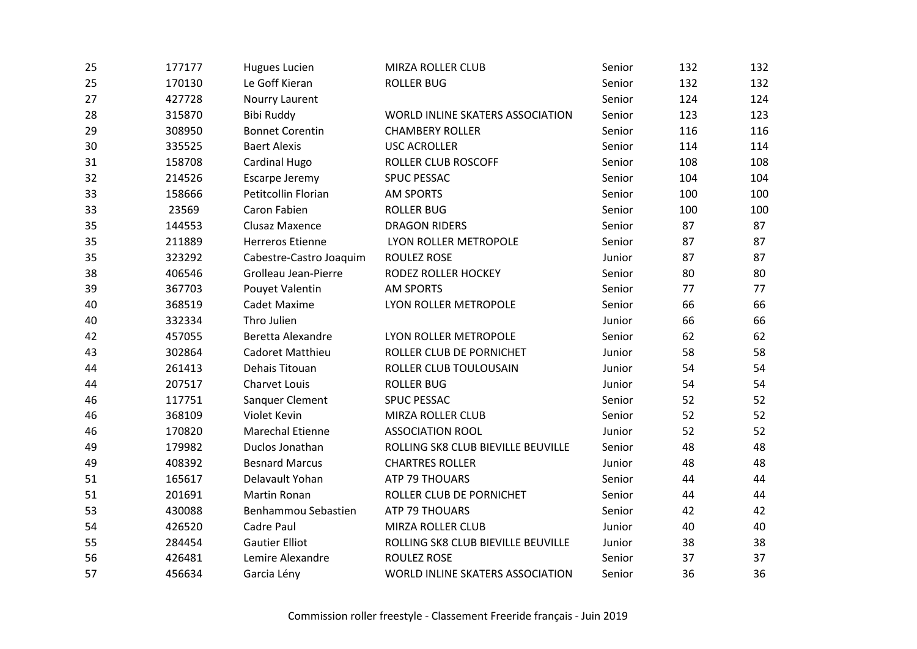| 25 | 177177 | <b>Hugues Lucien</b>    | <b>MIRZA ROLLER CLUB</b>           | Senior | 132 | 132 |
|----|--------|-------------------------|------------------------------------|--------|-----|-----|
| 25 | 170130 | Le Goff Kieran          | <b>ROLLER BUG</b>                  | Senior | 132 | 132 |
| 27 | 427728 | Nourry Laurent          |                                    | Senior | 124 | 124 |
| 28 | 315870 | <b>Bibi Ruddy</b>       | WORLD INLINE SKATERS ASSOCIATION   | Senior | 123 | 123 |
| 29 | 308950 | <b>Bonnet Corentin</b>  | <b>CHAMBERY ROLLER</b>             | Senior | 116 | 116 |
| 30 | 335525 | <b>Baert Alexis</b>     | <b>USC ACROLLER</b>                | Senior | 114 | 114 |
| 31 | 158708 | Cardinal Hugo           | ROLLER CLUB ROSCOFF                | Senior | 108 | 108 |
| 32 | 214526 | Escarpe Jeremy          | <b>SPUC PESSAC</b>                 | Senior | 104 | 104 |
| 33 | 158666 | Petitcollin Florian     | <b>AM SPORTS</b>                   | Senior | 100 | 100 |
| 33 | 23569  | Caron Fabien            | <b>ROLLER BUG</b>                  | Senior | 100 | 100 |
| 35 | 144553 | Clusaz Maxence          | <b>DRAGON RIDERS</b>               | Senior | 87  | 87  |
| 35 | 211889 | <b>Herreros Etienne</b> | LYON ROLLER METROPOLE              | Senior | 87  | 87  |
| 35 | 323292 | Cabestre-Castro Joaquim | <b>ROULEZ ROSE</b>                 | Junior | 87  | 87  |
| 38 | 406546 | Grolleau Jean-Pierre    | RODEZ ROLLER HOCKEY                | Senior | 80  | 80  |
| 39 | 367703 | Pouyet Valentin         | <b>AM SPORTS</b>                   | Senior | 77  | 77  |
| 40 | 368519 | <b>Cadet Maxime</b>     | LYON ROLLER METROPOLE              | Senior | 66  | 66  |
| 40 | 332334 | Thro Julien             |                                    | Junior | 66  | 66  |
| 42 | 457055 | Beretta Alexandre       | LYON ROLLER METROPOLE              | Senior | 62  | 62  |
| 43 | 302864 | Cadoret Matthieu        | ROLLER CLUB DE PORNICHET           | Junior | 58  | 58  |
| 44 | 261413 | Dehais Titouan          | ROLLER CLUB TOULOUSAIN             | Junior | 54  | 54  |
| 44 | 207517 | <b>Charvet Louis</b>    | <b>ROLLER BUG</b>                  | Junior | 54  | 54  |
| 46 | 117751 | Sanquer Clement         | <b>SPUC PESSAC</b>                 | Senior | 52  | 52  |
| 46 | 368109 | Violet Kevin            | MIRZA ROLLER CLUB                  | Senior | 52  | 52  |
| 46 | 170820 | <b>Marechal Etienne</b> | <b>ASSOCIATION ROOL</b>            | Junior | 52  | 52  |
| 49 | 179982 | Duclos Jonathan         | ROLLING SK8 CLUB BIEVILLE BEUVILLE | Senior | 48  | 48  |
| 49 | 408392 | <b>Besnard Marcus</b>   | <b>CHARTRES ROLLER</b>             | Junior | 48  | 48  |
| 51 | 165617 | Delavault Yohan         | ATP 79 THOUARS                     | Senior | 44  | 44  |
| 51 | 201691 | <b>Martin Ronan</b>     | ROLLER CLUB DE PORNICHET           | Senior | 44  | 44  |
| 53 | 430088 | Benhammou Sebastien     | ATP 79 THOUARS                     | Senior | 42  | 42  |
| 54 | 426520 | Cadre Paul              | MIRZA ROLLER CLUB                  | Junior | 40  | 40  |
| 55 | 284454 | <b>Gautier Elliot</b>   | ROLLING SK8 CLUB BIEVILLE BEUVILLE | Junior | 38  | 38  |
| 56 | 426481 | Lemire Alexandre        | <b>ROULEZ ROSE</b>                 | Senior | 37  | 37  |
| 57 | 456634 | Garcia Lény             | WORLD INLINE SKATERS ASSOCIATION   | Senior | 36  | 36  |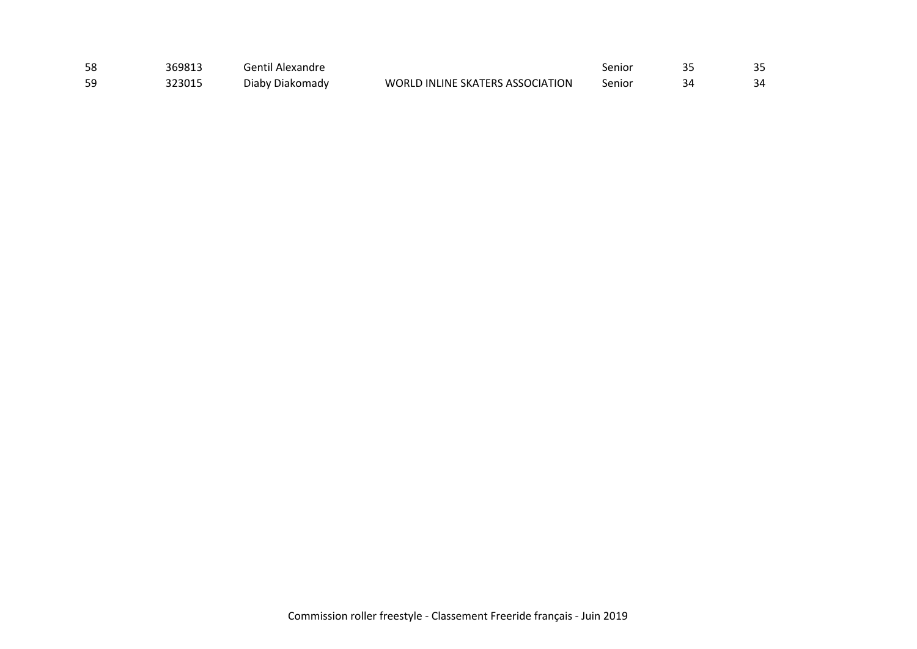| 58 | 369813 | Gentil Alexandre |                                  | Senior | つに |
|----|--------|------------------|----------------------------------|--------|----|
| 59 | 323015 | Diaby Diakomady  | WORLD INLINE SKATERS ASSOCIATION | Senior | २⊿ |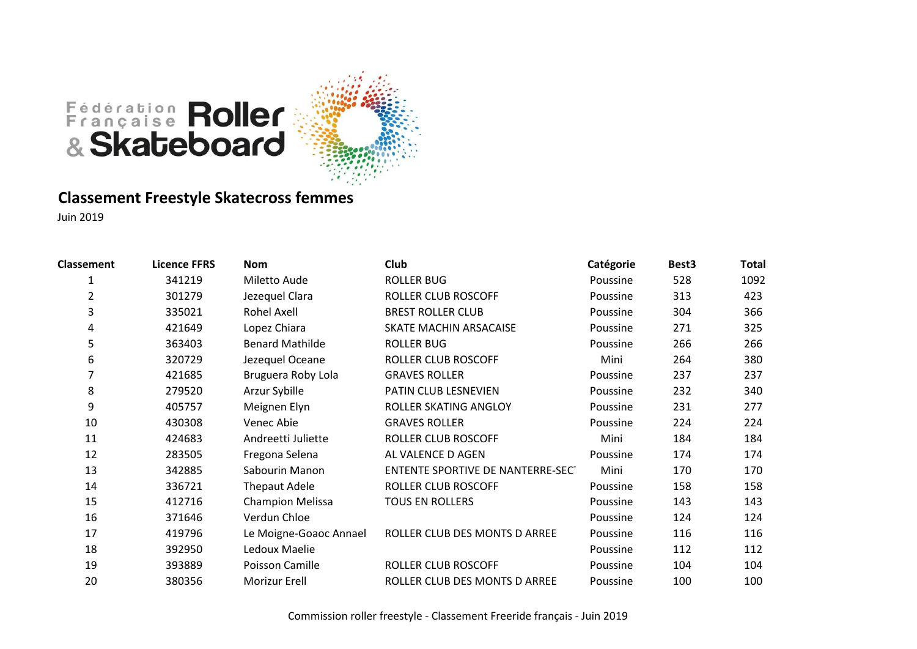

#### **Classement Freestyle Skatecross femmes**

| <b>Classement</b> | <b>Licence FFRS</b> | <b>Nom</b>              | Club                              | Catégorie | Best <sub>3</sub> | <b>Total</b> |
|-------------------|---------------------|-------------------------|-----------------------------------|-----------|-------------------|--------------|
| 1                 | 341219              | Miletto Aude            | <b>ROLLER BUG</b>                 | Poussine  | 528               | 1092         |
| $\overline{2}$    | 301279              | Jezequel Clara          | ROLLER CLUB ROSCOFF               | Poussine  | 313               | 423          |
| 3                 | 335021              | Rohel Axell             | <b>BREST ROLLER CLUB</b>          | Poussine  | 304               | 366          |
| 4                 | 421649              | Lopez Chiara            | SKATE MACHIN ARSACAISE            | Poussine  | 271               | 325          |
| 5                 | 363403              | <b>Benard Mathilde</b>  | <b>ROLLER BUG</b>                 | Poussine  | 266               | 266          |
| 6                 | 320729              | Jezequel Oceane         | ROLLER CLUB ROSCOFF               | Mini      | 264               | 380          |
|                   | 421685              | Bruguera Roby Lola      | <b>GRAVES ROLLER</b>              | Poussine  | 237               | 237          |
| 8                 | 279520              | Arzur Sybille           | PATIN CLUB LESNEVIEN              | Poussine  | 232               | 340          |
| 9                 | 405757              | Meignen Elyn            | ROLLER SKATING ANGLOY             | Poussine  | 231               | 277          |
| 10                | 430308              | Venec Abie              | <b>GRAVES ROLLER</b>              | Poussine  | 224               | 224          |
| 11                | 424683              | Andreetti Juliette      | ROLLER CLUB ROSCOFF               | Mini      | 184               | 184          |
| 12                | 283505              | Fregona Selena          | AL VALENCE D AGEN                 | Poussine  | 174               | 174          |
| 13                | 342885              | Sabourin Manon          | ENTENTE SPORTIVE DE NANTERRE-SECT | Mini      | 170               | 170          |
| 14                | 336721              | <b>Thepaut Adele</b>    | ROLLER CLUB ROSCOFF               | Poussine  | 158               | 158          |
| 15                | 412716              | <b>Champion Melissa</b> | <b>TOUS EN ROLLERS</b>            | Poussine  | 143               | 143          |
| 16                | 371646              | Verdun Chloe            |                                   | Poussine  | 124               | 124          |
| 17                | 419796              | Le Moigne-Goaoc Annael  | ROLLER CLUB DES MONTS D ARREE     | Poussine  | 116               | 116          |
| 18                | 392950              | Ledoux Maelie           |                                   | Poussine  | 112               | 112          |
| 19                | 393889              | Poisson Camille         | <b>ROLLER CLUB ROSCOFF</b>        | Poussine  | 104               | 104          |
| 20                | 380356              | Morizur Erell           | ROLLER CLUB DES MONTS D ARREE     | Poussine  | 100               | 100          |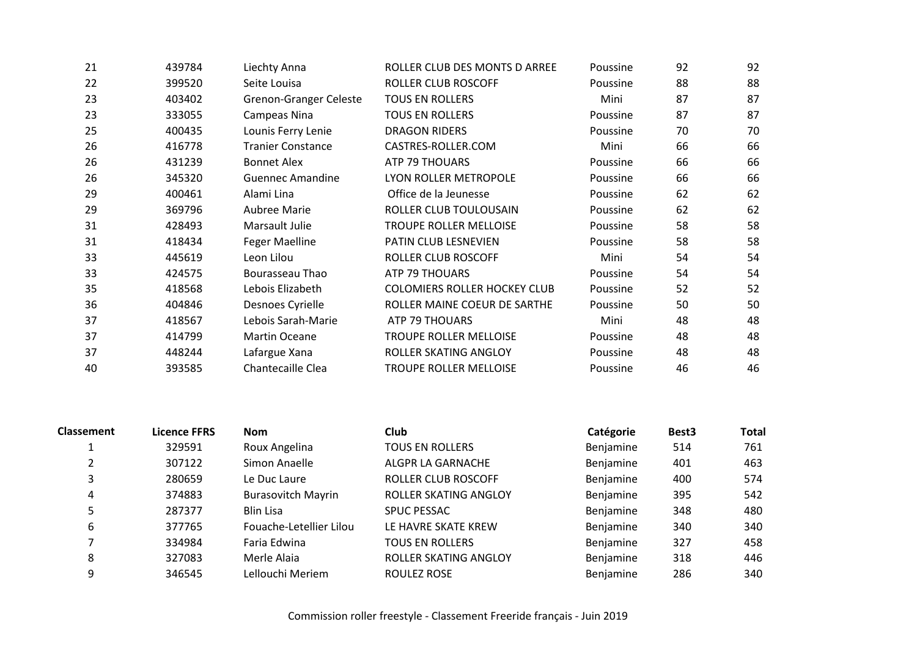| 21 | 439784 | Liechty Anna                  | ROLLER CLUB DES MONTS D ARREE       | Poussine | 92 | 92 |
|----|--------|-------------------------------|-------------------------------------|----------|----|----|
| 22 | 399520 | Seite Louisa                  | ROLLER CLUB ROSCOFF                 | Poussine | 88 | 88 |
| 23 | 403402 | <b>Grenon-Granger Celeste</b> | <b>TOUS EN ROLLERS</b>              | Mini     | 87 | 87 |
| 23 | 333055 | Campeas Nina                  | <b>TOUS EN ROLLERS</b>              | Poussine | 87 | 87 |
| 25 | 400435 | Lounis Ferry Lenie            | <b>DRAGON RIDERS</b>                | Poussine | 70 | 70 |
| 26 | 416778 | <b>Tranier Constance</b>      | CASTRES-ROLLER.COM                  | Mini     | 66 | 66 |
| 26 | 431239 | <b>Bonnet Alex</b>            | <b>ATP 79 THOUARS</b>               | Poussine | 66 | 66 |
| 26 | 345320 | <b>Guennec Amandine</b>       | LYON ROLLER METROPOLE               | Poussine | 66 | 66 |
| 29 | 400461 | Alami Lina                    | Office de la Jeunesse               | Poussine | 62 | 62 |
| 29 | 369796 | Aubree Marie                  | ROLLER CLUB TOULOUSAIN              | Poussine | 62 | 62 |
| 31 | 428493 | Marsault Julie                | <b>TROUPE ROLLER MELLOISE</b>       | Poussine | 58 | 58 |
| 31 | 418434 | <b>Feger Maelline</b>         | PATIN CLUB LESNEVIEN                | Poussine | 58 | 58 |
| 33 | 445619 | Leon Lilou                    | ROLLER CLUB ROSCOFF                 | Mini     | 54 | 54 |
| 33 | 424575 | Bourasseau Thao               | <b>ATP 79 THOUARS</b>               | Poussine | 54 | 54 |
| 35 | 418568 | Lebois Elizabeth              | <b>COLOMIERS ROLLER HOCKEY CLUB</b> | Poussine | 52 | 52 |
| 36 | 404846 | Desnoes Cyrielle              | ROLLER MAINE COEUR DE SARTHE        | Poussine | 50 | 50 |
| 37 | 418567 | Lebois Sarah-Marie            | ATP 79 THOUARS                      | Mini     | 48 | 48 |
| 37 | 414799 | Martin Oceane                 | <b>TROUPE ROLLER MELLOISE</b>       | Poussine | 48 | 48 |
| 37 | 448244 | Lafargue Xana                 | ROLLER SKATING ANGLOY               | Poussine | 48 | 48 |
| 40 | 393585 | Chantecaille Clea             | <b>TROUPE ROLLER MELLOISE</b>       | Poussine | 46 | 46 |

| <b>Classement</b> | <b>Licence FFRS</b> | <b>Nom</b>                | Club                       | Catégorie | Best <sub>3</sub> | <b>Total</b> |
|-------------------|---------------------|---------------------------|----------------------------|-----------|-------------------|--------------|
|                   | 329591              | Roux Angelina             | <b>TOUS EN ROLLERS</b>     | Benjamine | 514               | 761          |
|                   | 307122              | Simon Anaelle             | ALGPR LA GARNACHE          | Benjamine | 401               | 463          |
|                   | 280659              | Le Duc Laure              | <b>ROLLER CLUB ROSCOFF</b> | Benjamine | 400               | 574          |
| 4                 | 374883              | <b>Burasovitch Mayrin</b> | ROLLER SKATING ANGLOY      | Benjamine | 395               | 542          |
|                   | 287377              | <b>Blin Lisa</b>          | <b>SPUC PESSAC</b>         | Benjamine | 348               | 480          |
| 6                 | 377765              | Fouache-Letellier Lilou   | LE HAVRE SKATE KREW        | Benjamine | 340               | 340          |
|                   | 334984              | Faria Edwina              | <b>TOUS EN ROLLERS</b>     | Benjamine | 327               | 458          |
| 8                 | 327083              | Merle Alaia               | ROLLER SKATING ANGLOY      | Benjamine | 318               | 446          |
| 9                 | 346545              | Lellouchi Meriem          | ROULEZ ROSE                | Benjamine | 286               | 340          |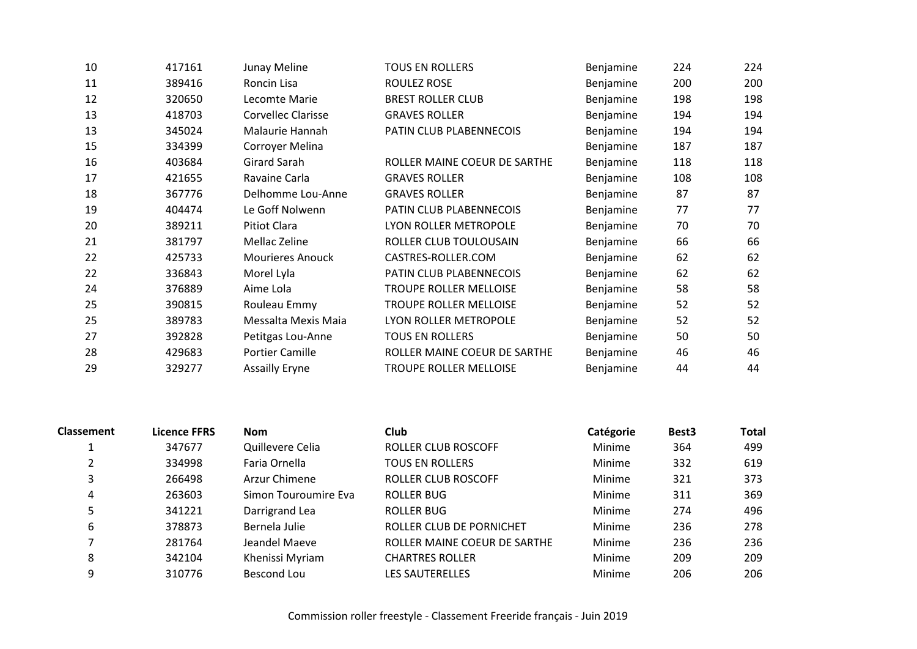| 10 | 417161 | Junay Meline              | <b>TOUS EN ROLLERS</b>        | Benjamine        | 224 | 224 |
|----|--------|---------------------------|-------------------------------|------------------|-----|-----|
| 11 | 389416 | Roncin Lisa               | ROULEZ ROSE                   | Benjamine        | 200 | 200 |
| 12 | 320650 | Lecomte Marie             | <b>BREST ROLLER CLUB</b>      | <b>Benjamine</b> | 198 | 198 |
| 13 | 418703 | <b>Corvellec Clarisse</b> | <b>GRAVES ROLLER</b>          | Benjamine        | 194 | 194 |
| 13 | 345024 | Malaurie Hannah           | PATIN CLUB PLABENNECOIS       | Benjamine        | 194 | 194 |
| 15 | 334399 | Corroyer Melina           |                               | Benjamine        | 187 | 187 |
| 16 | 403684 | Girard Sarah              | ROLLER MAINE COEUR DE SARTHE  | Benjamine        | 118 | 118 |
| 17 | 421655 | Ravaine Carla             | <b>GRAVES ROLLER</b>          | Benjamine        | 108 | 108 |
| 18 | 367776 | Delhomme Lou-Anne         | <b>GRAVES ROLLER</b>          | Benjamine        | 87  | 87  |
| 19 | 404474 | Le Goff Nolwenn           | PATIN CLUB PLABENNECOIS       | Benjamine        | 77  | 77  |
| 20 | 389211 | <b>Pitiot Clara</b>       | LYON ROLLER METROPOLE         | Benjamine        | 70  | 70  |
| 21 | 381797 | Mellac Zeline             | ROLLER CLUB TOULOUSAIN        | Benjamine        | 66  | 66  |
| 22 | 425733 | <b>Mourieres Anouck</b>   | CASTRES-ROLLER.COM            | Benjamine        | 62  | 62  |
| 22 | 336843 | Morel Lyla                | PATIN CLUB PLABENNECOIS       | Benjamine        | 62  | 62  |
| 24 | 376889 | Aime Lola                 | <b>TROUPE ROLLER MELLOISE</b> | Benjamine        | 58  | 58  |
| 25 | 390815 | Rouleau Emmy              | TROUPE ROLLER MELLOISE        | Benjamine        | 52  | 52  |
| 25 | 389783 | Messalta Mexis Maia       | LYON ROLLER METROPOLE         | Benjamine        | 52  | 52  |
| 27 | 392828 | Petitgas Lou-Anne         | <b>TOUS EN ROLLERS</b>        | Benjamine        | 50  | 50  |
| 28 | 429683 | <b>Portier Camille</b>    | ROLLER MAINE COEUR DE SARTHE  | Benjamine        | 46  | 46  |
| 29 | 329277 | <b>Assailly Eryne</b>     | <b>TROUPE ROLLER MELLOISE</b> | Benjamine        | 44  | 44  |
|    |        |                           |                               |                  |     |     |

| <b>Classement</b> | Licence FFRS | <b>Nom</b>           | Club                         | Catégorie     | Best <sub>3</sub> | <b>Total</b> |
|-------------------|--------------|----------------------|------------------------------|---------------|-------------------|--------------|
|                   | 347677       | Quillevere Celia     | ROLLER CLUB ROSCOFF          | Minime        | 364               | 499          |
|                   | 334998       | Faria Ornella        | <b>TOUS EN ROLLERS</b>       | Minime        | 332               | 619          |
|                   | 266498       | Arzur Chimene        | <b>ROLLER CLUB ROSCOFF</b>   | Minime        | 321               | 373          |
| 4                 | 263603       | Simon Touroumire Eva | ROLLER BUG                   | <b>Minime</b> | 311               | 369          |
|                   | 341221       | Darrigrand Lea       | ROLLER BUG                   | Minime        | 274               | 496          |
| 6                 | 378873       | Bernela Julie        | ROLLER CLUB DE PORNICHET     | Minime        | 236               | 278          |
|                   | 281764       | Jeandel Maeve        | ROLLER MAINE COEUR DE SARTHE | Minime        | 236               | 236          |
| 8                 | 342104       | Khenissi Myriam      | <b>CHARTRES ROLLER</b>       | Minime        | 209               | 209          |
| 9                 | 310776       | Bescond Lou          | <b>LES SAUTERELLES</b>       | Minime        | 206               | 206          |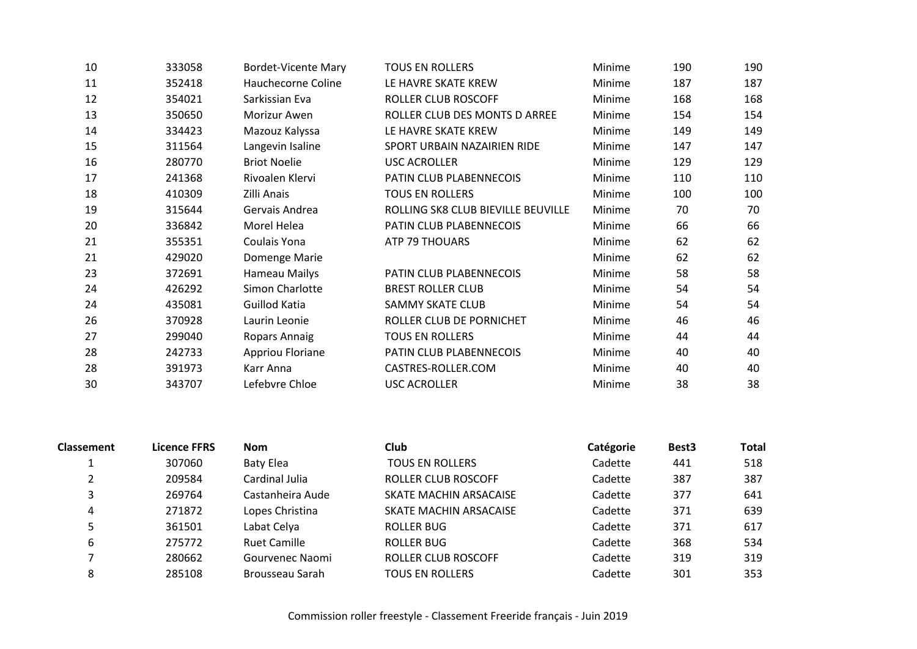| 10 | 333058 | <b>Bordet-Vicente Mary</b> | <b>TOUS EN ROLLERS</b>             | Minime | 190 | 190 |
|----|--------|----------------------------|------------------------------------|--------|-----|-----|
| 11 | 352418 | Hauchecorne Coline         | LE HAVRE SKATE KREW                | Minime | 187 | 187 |
| 12 | 354021 | Sarkissian Eva             | ROLLER CLUB ROSCOFF                | Minime | 168 | 168 |
| 13 | 350650 | Morizur Awen               | ROLLER CLUB DES MONTS D ARREE      | Minime | 154 | 154 |
| 14 | 334423 | Mazouz Kalyssa             | LE HAVRE SKATE KREW                | Minime | 149 | 149 |
| 15 | 311564 | Langevin Isaline           | SPORT URBAIN NAZAIRIEN RIDE        | Minime | 147 | 147 |
| 16 | 280770 | <b>Briot Noelie</b>        | <b>USC ACROLLER</b>                | Minime | 129 | 129 |
| 17 | 241368 | Rivoalen Klervi            | PATIN CLUB PLABENNECOIS            | Minime | 110 | 110 |
| 18 | 410309 | Zilli Anais                | <b>TOUS EN ROLLERS</b>             | Minime | 100 | 100 |
| 19 | 315644 | Gervais Andrea             | ROLLING SK8 CLUB BIEVILLE BEUVILLE | Minime | 70  | 70  |
| 20 | 336842 | Morel Helea                | PATIN CLUB PLABENNECOIS            | Minime | 66  | 66  |
| 21 | 355351 | Coulais Yona               | ATP 79 THOUARS                     | Minime | 62  | 62  |
| 21 | 429020 | Domenge Marie              |                                    | Minime | 62  | 62  |
| 23 | 372691 | <b>Hameau Mailys</b>       | PATIN CLUB PLABENNECOIS            | Minime | 58  | 58  |
| 24 | 426292 | Simon Charlotte            | <b>BREST ROLLER CLUB</b>           | Minime | 54  | 54  |
| 24 | 435081 | Guillod Katia              | SAMMY SKATE CLUB                   | Minime | 54  | 54  |
| 26 | 370928 | Laurin Leonie              | ROLLER CLUB DE PORNICHET           | Minime | 46  | 46  |
| 27 | 299040 | Ropars Annaig              | <b>TOUS EN ROLLERS</b>             | Minime | 44  | 44  |
| 28 | 242733 | Appriou Floriane           | PATIN CLUB PLABENNECOIS            | Minime | 40  | 40  |
| 28 | 391973 | Karr Anna                  | CASTRES-ROLLER.COM                 | Minime | 40  | 40  |
| 30 | 343707 | Lefebvre Chloe             | <b>USC ACROLLER</b>                | Minime | 38  | 38  |

| <b>Classement</b> | Licence FFRS | <b>Nom</b>          | <b>Club</b>            | Catégorie | Best <sub>3</sub> | <b>Total</b> |
|-------------------|--------------|---------------------|------------------------|-----------|-------------------|--------------|
|                   | 307060       | <b>Baty Elea</b>    | <b>TOUS EN ROLLERS</b> | Cadette   | 441               | 518          |
|                   | 209584       | Cardinal Julia      | ROLLER CLUB ROSCOFF    | Cadette   | 387               | 387          |
|                   | 269764       | Castanheira Aude    | SKATE MACHIN ARSACAISE | Cadette   | 377               | 641          |
| 4                 | 271872       | Lopes Christina     | SKATE MACHIN ARSACAISE | Cadette   | 371               | 639          |
|                   | 361501       | Labat Celya         | ROLLER BUG             | Cadette   | 371               | 617          |
| 6                 | 275772       | <b>Ruet Camille</b> | ROLLER BUG             | Cadette   | 368               | 534          |
|                   | 280662       | Gourvenec Naomi     | ROLLER CLUB ROSCOFF    | Cadette   | 319               | 319          |
| 8                 | 285108       | Brousseau Sarah     | <b>TOUS EN ROLLERS</b> | Cadette   | 301               | 353          |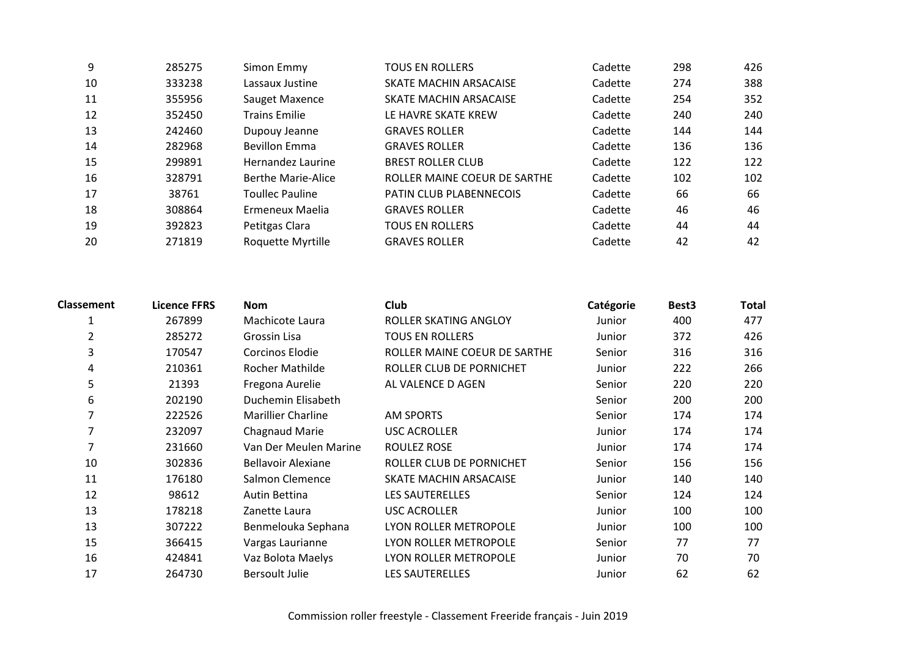| 9  | 285275 | Simon Emmy                | <b>TOUS EN ROLLERS</b>         | Cadette | 298 | 426 |
|----|--------|---------------------------|--------------------------------|---------|-----|-----|
| 10 | 333238 | Lassaux Justine           | SKATE MACHIN ARSACAISE         | Cadette | 274 | 388 |
| 11 | 355956 | Sauget Maxence            | SKATE MACHIN ARSACAISE         | Cadette | 254 | 352 |
| 12 | 352450 | <b>Trains Emilie</b>      | LE HAVRE SKATE KREW            | Cadette | 240 | 240 |
| 13 | 242460 | Dupouy Jeanne             | <b>GRAVES ROLLER</b>           | Cadette | 144 | 144 |
| 14 | 282968 | <b>Bevillon Emma</b>      | <b>GRAVES ROLLER</b>           | Cadette | 136 | 136 |
| 15 | 299891 | Hernandez Laurine         | <b>BREST ROLLER CLUB</b>       | Cadette | 122 | 122 |
| 16 | 328791 | <b>Berthe Marie-Alice</b> | ROLLER MAINE COEUR DE SARTHE   | Cadette | 102 | 102 |
| 17 | 38761  | <b>Toullec Pauline</b>    | <b>PATIN CLUB PLABENNECOIS</b> | Cadette | 66  | 66  |
| 18 | 308864 | Ermeneux Maelia           | <b>GRAVES ROLLER</b>           | Cadette | 46  | 46  |
| 19 | 392823 | Petitgas Clara            | <b>TOUS EN ROLLERS</b>         | Cadette | 44  | 44  |
| 20 | 271819 | Roquette Myrtille         | <b>GRAVES ROLLER</b>           | Cadette | 42  | 42  |

| <b>Classement</b> | Licence FFRS | <b>Nom</b>                | <b>Club</b>                  | Catégorie | Best <sub>3</sub> | Total |
|-------------------|--------------|---------------------------|------------------------------|-----------|-------------------|-------|
|                   | 267899       | Machicote Laura           | ROLLER SKATING ANGLOY        | Junior    | 400               | 477   |
| 2                 | 285272       | Grossin Lisa              | <b>TOUS EN ROLLERS</b>       | Junior    | 372               | 426   |
| 3                 | 170547       | Corcinos Elodie           | ROLLER MAINE COEUR DE SARTHE | Senior    | 316               | 316   |
| 4                 | 210361       | Rocher Mathilde           | ROLLER CLUB DE PORNICHET     | Junior    | 222               | 266   |
| 5                 | 21393        | Fregona Aurelie           | AL VALENCE D AGEN            | Senior    | 220               | 220   |
| 6                 | 202190       | Duchemin Elisabeth        |                              | Senior    | 200               | 200   |
| 7                 | 222526       | <b>Marillier Charline</b> | <b>AM SPORTS</b>             | Senior    | 174               | 174   |
| 7                 | 232097       | Chagnaud Marie            | USC ACROLLER                 | Junior    | 174               | 174   |
|                   | 231660       | Van Der Meulen Marine     | ROULEZ ROSE                  | Junior    | 174               | 174   |
| 10                | 302836       | <b>Bellavoir Alexiane</b> | ROLLER CLUB DE PORNICHET     | Senior    | 156               | 156   |
| 11                | 176180       | Salmon Clemence           | SKATE MACHIN ARSACAISE       | Junior    | 140               | 140   |
| 12                | 98612        | Autin Bettina             | <b>LES SAUTERELLES</b>       | Senior    | 124               | 124   |
| 13                | 178218       | Zanette Laura             | <b>USC ACROLLER</b>          | Junior    | 100               | 100   |
| 13                | 307222       | Benmelouka Sephana        | LYON ROLLER METROPOLE        | Junior    | 100               | 100   |
| 15                | 366415       | Vargas Laurianne          | LYON ROLLER METROPOLE        | Senior    | 77                | 77    |
| 16                | 424841       | Vaz Bolota Maelys         | LYON ROLLER METROPOLE        | Junior    | 70                | 70    |
| 17                | 264730       | <b>Bersoult Julie</b>     | <b>LES SAUTERELLES</b>       | Junior    | 62                | 62    |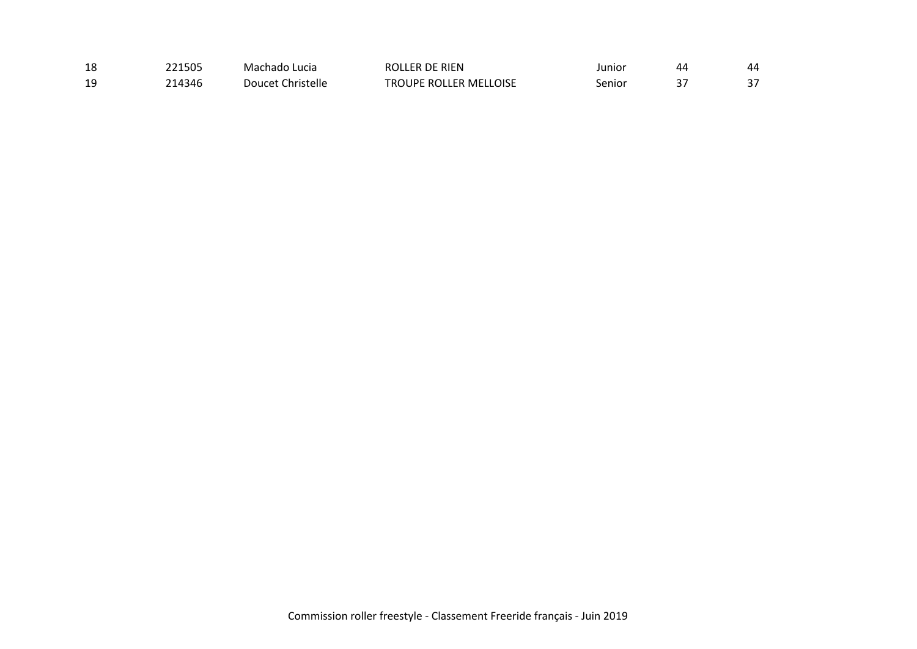| 18 | 221505 | Machado Lucia     | ROLLER DE RIEN         | Junior | 44       | 44 |
|----|--------|-------------------|------------------------|--------|----------|----|
| 19 | 214346 | Doucet Christelle | TROUPE ROLLER MELLOISE | Senior | <u>.</u> |    |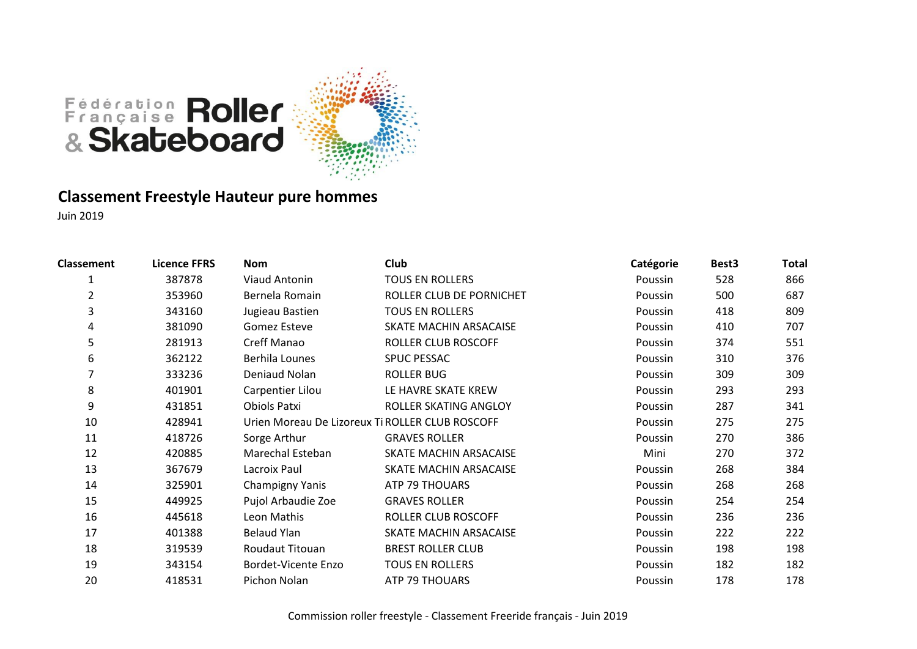

#### **Classement Freestyle Hauteur pure hommes**

| <b>Classement</b> | <b>Licence FFRS</b> | <b>Nom</b>          | Club                                            | Catégorie | Best <sub>3</sub> | Total |
|-------------------|---------------------|---------------------|-------------------------------------------------|-----------|-------------------|-------|
| 1                 | 387878              | Viaud Antonin       | <b>TOUS EN ROLLERS</b>                          | Poussin   | 528               | 866   |
| $\overline{2}$    | 353960              | Bernela Romain      | ROLLER CLUB DE PORNICHET                        | Poussin   | 500               | 687   |
| 3                 | 343160              | Jugieau Bastien     | <b>TOUS EN ROLLERS</b>                          | Poussin   | 418               | 809   |
| 4                 | 381090              | Gomez Esteve        | SKATE MACHIN ARSACAISE                          | Poussin   | 410               | 707   |
| 5                 | 281913              | Creff Manao         | ROLLER CLUB ROSCOFF                             | Poussin   | 374               | 551   |
| 6                 | 362122              | Berhila Lounes      | <b>SPUC PESSAC</b>                              | Poussin   | 310               | 376   |
|                   | 333236              | Deniaud Nolan       | <b>ROLLER BUG</b>                               | Poussin   | 309               | 309   |
| 8                 | 401901              | Carpentier Lilou    | LE HAVRE SKATE KREW                             | Poussin   | 293               | 293   |
| 9                 | 431851              | Obiols Patxi        | ROLLER SKATING ANGLOY                           | Poussin   | 287               | 341   |
| 10                | 428941              |                     | Urien Moreau De Lizoreux Ti ROLLER CLUB ROSCOFF | Poussin   | 275               | 275   |
| 11                | 418726              | Sorge Arthur        | <b>GRAVES ROLLER</b>                            | Poussin   | 270               | 386   |
| 12                | 420885              | Marechal Esteban    | SKATE MACHIN ARSACAISE                          | Mini      | 270               | 372   |
| 13                | 367679              | Lacroix Paul        | SKATE MACHIN ARSACAISE                          | Poussin   | 268               | 384   |
| 14                | 325901              | Champigny Yanis     | ATP 79 THOUARS                                  | Poussin   | 268               | 268   |
| 15                | 449925              | Pujol Arbaudie Zoe  | <b>GRAVES ROLLER</b>                            | Poussin   | 254               | 254   |
| 16                | 445618              | Leon Mathis         | ROLLER CLUB ROSCOFF                             | Poussin   | 236               | 236   |
| 17                | 401388              | <b>Belaud Ylan</b>  | SKATE MACHIN ARSACAISE                          | Poussin   | 222               | 222   |
| 18                | 319539              | Roudaut Titouan     | <b>BREST ROLLER CLUB</b>                        | Poussin   | 198               | 198   |
| 19                | 343154              | Bordet-Vicente Enzo | <b>TOUS EN ROLLERS</b>                          | Poussin   | 182               | 182   |
| 20                | 418531              | Pichon Nolan        | ATP 79 THOUARS                                  | Poussin   | 178               | 178   |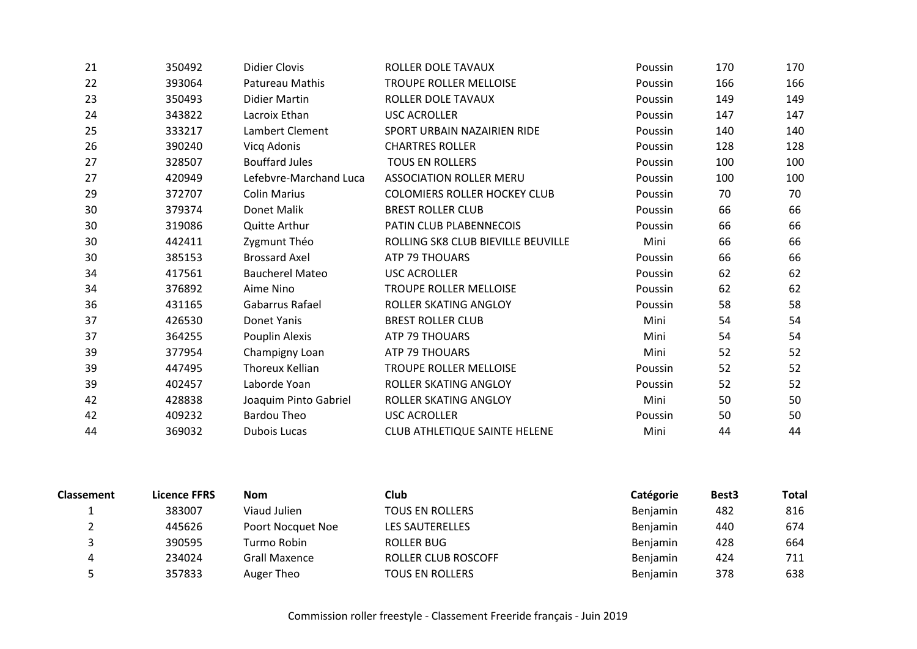| 21 | 350492 | <b>Didier Clovis</b>   | ROLLER DOLE TAVAUX                   | Poussin | 170 | 170 |
|----|--------|------------------------|--------------------------------------|---------|-----|-----|
| 22 | 393064 | Patureau Mathis        | <b>TROUPE ROLLER MELLOISE</b>        | Poussin | 166 | 166 |
| 23 | 350493 | <b>Didier Martin</b>   | ROLLER DOLE TAVAUX                   | Poussin | 149 | 149 |
| 24 | 343822 | Lacroix Ethan          | <b>USC ACROLLER</b>                  | Poussin | 147 | 147 |
| 25 | 333217 | Lambert Clement        | SPORT URBAIN NAZAIRIEN RIDE          | Poussin | 140 | 140 |
| 26 | 390240 | Vicq Adonis            | <b>CHARTRES ROLLER</b>               | Poussin | 128 | 128 |
| 27 | 328507 | <b>Bouffard Jules</b>  | <b>TOUS EN ROLLERS</b>               | Poussin | 100 | 100 |
| 27 | 420949 | Lefebvre-Marchand Luca | <b>ASSOCIATION ROLLER MERU</b>       | Poussin | 100 | 100 |
| 29 | 372707 | <b>Colin Marius</b>    | <b>COLOMIERS ROLLER HOCKEY CLUB</b>  | Poussin | 70  | 70  |
| 30 | 379374 | Donet Malik            | <b>BREST ROLLER CLUB</b>             | Poussin | 66  | 66  |
| 30 | 319086 | Quitte Arthur          | PATIN CLUB PLABENNECOIS              | Poussin | 66  | 66  |
| 30 | 442411 | Zygmunt Théo           | ROLLING SK8 CLUB BIEVILLE BEUVILLE   | Mini    | 66  | 66  |
| 30 | 385153 | <b>Brossard Axel</b>   | ATP 79 THOUARS                       | Poussin | 66  | 66  |
| 34 | 417561 | <b>Baucherel Mateo</b> | <b>USC ACROLLER</b>                  | Poussin | 62  | 62  |
| 34 | 376892 | Aime Nino              | <b>TROUPE ROLLER MELLOISE</b>        | Poussin | 62  | 62  |
| 36 | 431165 | Gabarrus Rafael        | ROLLER SKATING ANGLOY                | Poussin | 58  | 58  |
| 37 | 426530 | Donet Yanis            | <b>BREST ROLLER CLUB</b>             | Mini    | 54  | 54  |
| 37 | 364255 | Pouplin Alexis         | ATP 79 THOUARS                       | Mini    | 54  | 54  |
| 39 | 377954 | Champigny Loan         | <b>ATP 79 THOUARS</b>                | Mini    | 52  | 52  |
| 39 | 447495 | <b>Thoreux Kellian</b> | <b>TROUPE ROLLER MELLOISE</b>        | Poussin | 52  | 52  |
| 39 | 402457 | Laborde Yoan           | ROLLER SKATING ANGLOY                | Poussin | 52  | 52  |
| 42 | 428838 | Joaquim Pinto Gabriel  | ROLLER SKATING ANGLOY                | Mini    | 50  | 50  |
| 42 | 409232 | <b>Bardou Theo</b>     | <b>USC ACROLLER</b>                  | Poussin | 50  | 50  |
| 44 | 369032 | Dubois Lucas           | <b>CLUB ATHLETIQUE SAINTE HELENE</b> | Mini    | 44  | 44  |

| <b>Classement</b> | Licence FFRS | Nom               | <b>Club</b>            | Catégorie       | Best <sub>3</sub> | <b>Total</b> |
|-------------------|--------------|-------------------|------------------------|-----------------|-------------------|--------------|
|                   | 383007       | Viaud Julien      | <b>TOUS EN ROLLERS</b> | Benjamin        | 482               | 816          |
|                   | 445626       | Poort Nocquet Noe | LES SAUTERELLES        | <b>Benjamin</b> | 440               | 674          |
|                   | 390595       | Turmo Robin       | ROLLER BUG             | <b>Benjamin</b> | 428               | 664          |
|                   | 234024       | Grall Maxence     | ROLLER CLUB ROSCOFF    | Benjamin        | 424               | 711          |
|                   | 357833       | Auger Theo        | TOUS EN ROLLERS        | <b>Benjamin</b> | 378               | 638          |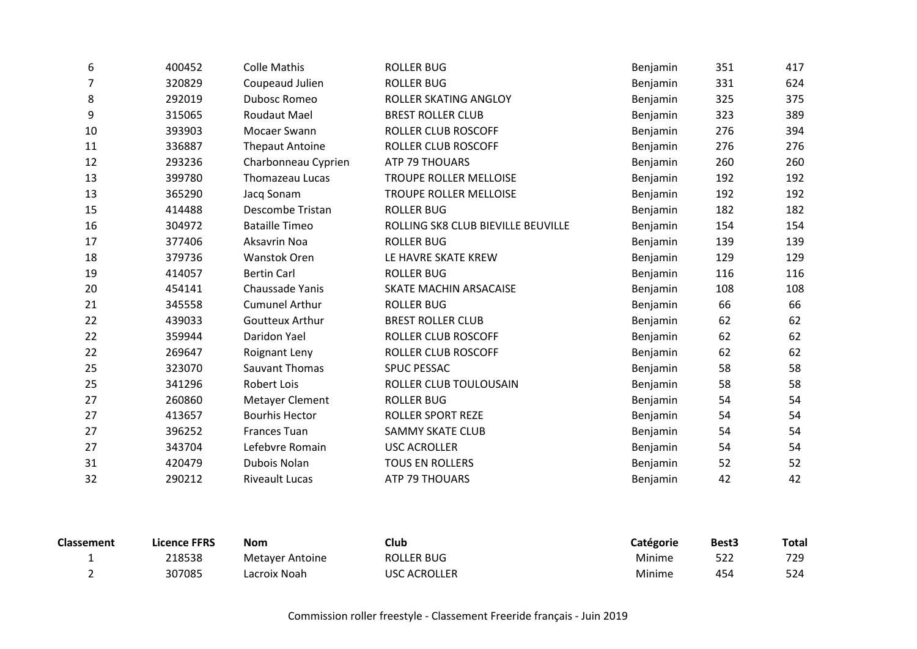| 6  | 400452 | <b>Colle Mathis</b>    | <b>ROLLER BUG</b>                  | Benjamin | 351 | 417 |
|----|--------|------------------------|------------------------------------|----------|-----|-----|
| 7  | 320829 | Coupeaud Julien        | <b>ROLLER BUG</b>                  | Benjamin | 331 | 624 |
| 8  | 292019 | Dubosc Romeo           | ROLLER SKATING ANGLOY              | Benjamin | 325 | 375 |
| 9  | 315065 | Roudaut Mael           | <b>BREST ROLLER CLUB</b>           | Benjamin | 323 | 389 |
| 10 | 393903 | Mocaer Swann           | <b>ROLLER CLUB ROSCOFF</b>         | Benjamin | 276 | 394 |
| 11 | 336887 | <b>Thepaut Antoine</b> | <b>ROLLER CLUB ROSCOFF</b>         | Benjamin | 276 | 276 |
| 12 | 293236 | Charbonneau Cyprien    | ATP 79 THOUARS                     | Benjamin | 260 | 260 |
| 13 | 399780 | Thomazeau Lucas        | <b>TROUPE ROLLER MELLOISE</b>      | Benjamin | 192 | 192 |
| 13 | 365290 | Jacq Sonam             | TROUPE ROLLER MELLOISE             | Benjamin | 192 | 192 |
| 15 | 414488 | Descombe Tristan       | <b>ROLLER BUG</b>                  | Benjamin | 182 | 182 |
| 16 | 304972 | <b>Bataille Timeo</b>  | ROLLING SK8 CLUB BIEVILLE BEUVILLE | Benjamin | 154 | 154 |
| 17 | 377406 | Aksavrin Noa           | <b>ROLLER BUG</b>                  | Benjamin | 139 | 139 |
| 18 | 379736 | Wanstok Oren           | LE HAVRE SKATE KREW                | Benjamin | 129 | 129 |
| 19 | 414057 | <b>Bertin Carl</b>     | <b>ROLLER BUG</b>                  | Benjamin | 116 | 116 |
| 20 | 454141 | Chaussade Yanis        | SKATE MACHIN ARSACAISE             | Benjamin | 108 | 108 |
| 21 | 345558 | <b>Cumunel Arthur</b>  | <b>ROLLER BUG</b>                  | Benjamin | 66  | 66  |
| 22 | 439033 | <b>Goutteux Arthur</b> | <b>BREST ROLLER CLUB</b>           | Benjamin | 62  | 62  |
| 22 | 359944 | Daridon Yael           | <b>ROLLER CLUB ROSCOFF</b>         | Benjamin | 62  | 62  |
| 22 | 269647 | Roignant Leny          | <b>ROLLER CLUB ROSCOFF</b>         | Benjamin | 62  | 62  |
| 25 | 323070 | Sauvant Thomas         | <b>SPUC PESSAC</b>                 | Benjamin | 58  | 58  |
| 25 | 341296 | Robert Lois            | ROLLER CLUB TOULOUSAIN             | Benjamin | 58  | 58  |
| 27 | 260860 | Metayer Clement        | <b>ROLLER BUG</b>                  | Benjamin | 54  | 54  |
| 27 | 413657 | <b>Bourhis Hector</b>  | <b>ROLLER SPORT REZE</b>           | Benjamin | 54  | 54  |
| 27 | 396252 | <b>Frances Tuan</b>    | <b>SAMMY SKATE CLUB</b>            | Benjamin | 54  | 54  |
| 27 | 343704 | Lefebvre Romain        | <b>USC ACROLLER</b>                | Benjamin | 54  | 54  |
| 31 | 420479 | Dubois Nolan           | <b>TOUS EN ROLLERS</b>             | Benjamin | 52  | 52  |
| 32 | 290212 | <b>Riveault Lucas</b>  | ATP 79 THOUARS                     | Benjamin | 42  | 42  |

| <b>Classement</b> | Licence FFRS | <b>Nom</b>      | Club              | Catégorie | Best3 | <b>Total</b> |
|-------------------|--------------|-----------------|-------------------|-----------|-------|--------------|
|                   | 218538       | Metayer Antoine | <b>ROLLER BUG</b> | Minime    |       | 729          |
|                   | 307085       | Lacroix Noah    | USC ACROLLER      | Minime    | 454   | 524          |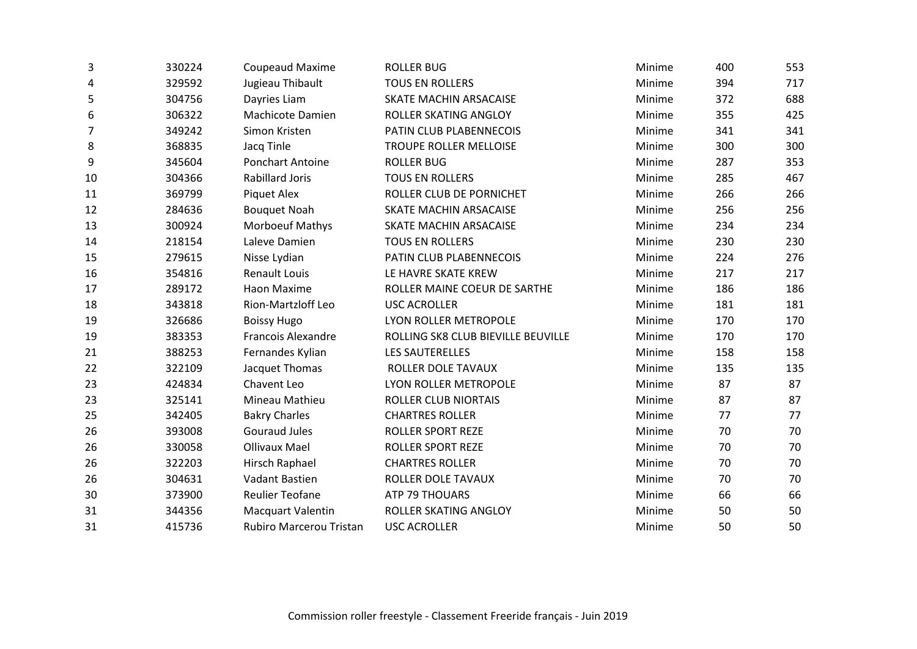| 330224 | Coupeaud Maxime           | <b>ROLLER BUG</b>                  | Minime | 400 | 553 |
|--------|---------------------------|------------------------------------|--------|-----|-----|
| 329592 | Jugieau Thibault          | <b>TOUS EN ROLLERS</b>             | Minime | 394 | 717 |
| 304756 | Dayries Liam              | SKATE MACHIN ARSACAISE             | Minime | 372 | 688 |
| 306322 | Machicote Damien          | ROLLER SKATING ANGLOY              | Minime | 355 | 425 |
| 349242 | Simon Kristen             | PATIN CLUB PLABENNECOIS            | Minime | 341 | 341 |
| 368835 | Jacq Tinle                | TROUPE ROLLER MELLOISE             | Minime | 300 | 300 |
| 345604 | <b>Ponchart Antoine</b>   | <b>ROLLER BUG</b>                  | Minime | 287 | 353 |
| 304366 | <b>Rabillard Joris</b>    | <b>TOUS EN ROLLERS</b>             | Minime | 285 | 467 |
| 369799 | <b>Piquet Alex</b>        | ROLLER CLUB DE PORNICHET           | Minime | 266 | 266 |
| 284636 | <b>Bouquet Noah</b>       | SKATE MACHIN ARSACAISE             | Minime | 256 | 256 |
| 300924 | Morboeuf Mathys           | SKATE MACHIN ARSACAISE             | Minime | 234 | 234 |
| 218154 | Laleve Damien             | <b>TOUS EN ROLLERS</b>             | Minime | 230 | 230 |
| 279615 | Nisse Lydian              | PATIN CLUB PLABENNECOIS            | Minime | 224 | 276 |
| 354816 | <b>Renault Louis</b>      | LE HAVRE SKATE KREW                | Minime | 217 | 217 |
| 289172 | Haon Maxime               | ROLLER MAINE COEUR DE SARTHE       | Minime | 186 | 186 |
| 343818 | Rion-Martzloff Leo        | <b>USC ACROLLER</b>                | Minime | 181 | 181 |
| 326686 | <b>Boissy Hugo</b>        | LYON ROLLER METROPOLE              | Minime | 170 | 170 |
| 383353 | <b>Francois Alexandre</b> | ROLLING SK8 CLUB BIEVILLE BEUVILLE | Minime | 170 | 170 |
| 388253 | Fernandes Kylian          | <b>LES SAUTERELLES</b>             | Minime | 158 | 158 |
| 322109 | Jacquet Thomas            | ROLLER DOLE TAVAUX                 | Minime | 135 | 135 |
| 424834 | Chavent Leo               | LYON ROLLER METROPOLE              | Minime | 87  | 87  |
| 325141 | Mineau Mathieu            | <b>ROLLER CLUB NIORTAIS</b>        | Minime | 87  | 87  |
| 342405 | <b>Bakry Charles</b>      | <b>CHARTRES ROLLER</b>             | Minime | 77  | 77  |
| 393008 | <b>Gouraud Jules</b>      | <b>ROLLER SPORT REZE</b>           | Minime | 70  | 70  |
| 330058 | <b>Ollivaux Mael</b>      | <b>ROLLER SPORT REZE</b>           | Minime | 70  | 70  |
| 322203 | Hirsch Raphael            | <b>CHARTRES ROLLER</b>             | Minime | 70  | 70  |
| 304631 | Vadant Bastien            | ROLLER DOLE TAVAUX                 | Minime | 70  | 70  |
| 373900 | <b>Reulier Teofane</b>    | ATP 79 THOUARS                     | Minime | 66  | 66  |
| 344356 | <b>Macquart Valentin</b>  | ROLLER SKATING ANGLOY              | Minime | 50  | 50  |
| 415736 | Rubiro Marcerou Tristan   | <b>USC ACROLLER</b>                | Minime | 50  | 50  |
|        |                           |                                    |        |     |     |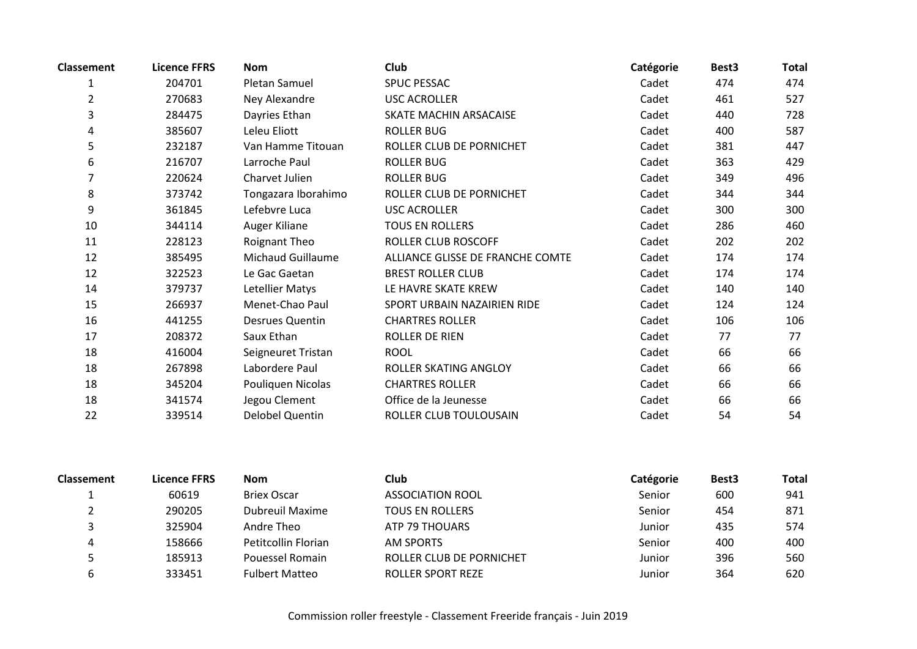| <b>Classement</b> | <b>Licence FFRS</b> | <b>Nom</b>               | <b>Club</b>                      | Catégorie | Best <sub>3</sub> | <b>Total</b> |
|-------------------|---------------------|--------------------------|----------------------------------|-----------|-------------------|--------------|
| $\mathbf{1}$      | 204701              | Pletan Samuel            | <b>SPUC PESSAC</b>               | Cadet     | 474               | 474          |
| $\overline{2}$    | 270683              | Ney Alexandre            | <b>USC ACROLLER</b>              | Cadet     | 461               | 527          |
| 3                 | 284475              | Dayries Ethan            | SKATE MACHIN ARSACAISE           | Cadet     | 440               | 728          |
| 4                 | 385607              | Leleu Eliott             | <b>ROLLER BUG</b>                | Cadet     | 400               | 587          |
| 5                 | 232187              | Van Hamme Titouan        | ROLLER CLUB DE PORNICHET         | Cadet     | 381               | 447          |
| 6                 | 216707              | Larroche Paul            | <b>ROLLER BUG</b>                | Cadet     | 363               | 429          |
| 7                 | 220624              | Charvet Julien           | <b>ROLLER BUG</b>                | Cadet     | 349               | 496          |
| 8                 | 373742              | Tongazara Iborahimo      | ROLLER CLUB DE PORNICHET         | Cadet     | 344               | 344          |
| 9                 | 361845              | Lefebvre Luca            | <b>USC ACROLLER</b>              | Cadet     | 300               | 300          |
| 10                | 344114              | Auger Kiliane            | <b>TOUS EN ROLLERS</b>           | Cadet     | 286               | 460          |
| 11                | 228123              | Roignant Theo            | ROLLER CLUB ROSCOFF              | Cadet     | 202               | 202          |
| 12                | 385495              | <b>Michaud Guillaume</b> | ALLIANCE GLISSE DE FRANCHE COMTE | Cadet     | 174               | 174          |
| 12                | 322523              | Le Gac Gaetan            | <b>BREST ROLLER CLUB</b>         | Cadet     | 174               | 174          |
| 14                | 379737              | Letellier Matys          | LE HAVRE SKATE KREW              | Cadet     | 140               | 140          |
| 15                | 266937              | Menet-Chao Paul          | SPORT URBAIN NAZAIRIEN RIDE      | Cadet     | 124               | 124          |
| 16                | 441255              | Desrues Quentin          | <b>CHARTRES ROLLER</b>           | Cadet     | 106               | 106          |
| 17                | 208372              | Saux Ethan               | ROLLER DE RIEN                   | Cadet     | 77                | 77           |
| 18                | 416004              | Seigneuret Tristan       | <b>ROOL</b>                      | Cadet     | 66                | 66           |
| 18                | 267898              | Labordere Paul           | ROLLER SKATING ANGLOY            | Cadet     | 66                | 66           |
| 18                | 345204              | Pouliquen Nicolas        | <b>CHARTRES ROLLER</b>           | Cadet     | 66                | 66           |
| 18                | 341574              | Jegou Clement            | Office de la Jeunesse            | Cadet     | 66                | 66           |
| 22                | 339514              | Delobel Quentin          | ROLLER CLUB TOULOUSAIN           | Cadet     | 54                | 54           |

| <b>Classement</b> | <b>Licence FFRS</b> | <b>Nom</b>            | Club                     | Catégorie | Best <sub>3</sub> | Total |
|-------------------|---------------------|-----------------------|--------------------------|-----------|-------------------|-------|
|                   | 60619               | <b>Briex Oscar</b>    | ASSOCIATION ROOL         | Senior    | 600               | 941   |
|                   | 290205              | Dubreuil Maxime       | <b>TOUS EN ROLLERS</b>   | Senior    | 454               | 871   |
|                   | 325904              | Andre Theo            | ATP 79 THOUARS           | Junior    | 435               | 574   |
| 4                 | 158666              | Petitcollin Florian   | <b>AM SPORTS</b>         | Senior    | 400               | 400   |
|                   | 185913              | Pouessel Romain       | ROLLER CLUB DE PORNICHET | Junior    | 396               | 560   |
|                   | 333451              | <b>Fulbert Matteo</b> | <b>ROLLER SPORT REZE</b> | Junior    | 364               | 620   |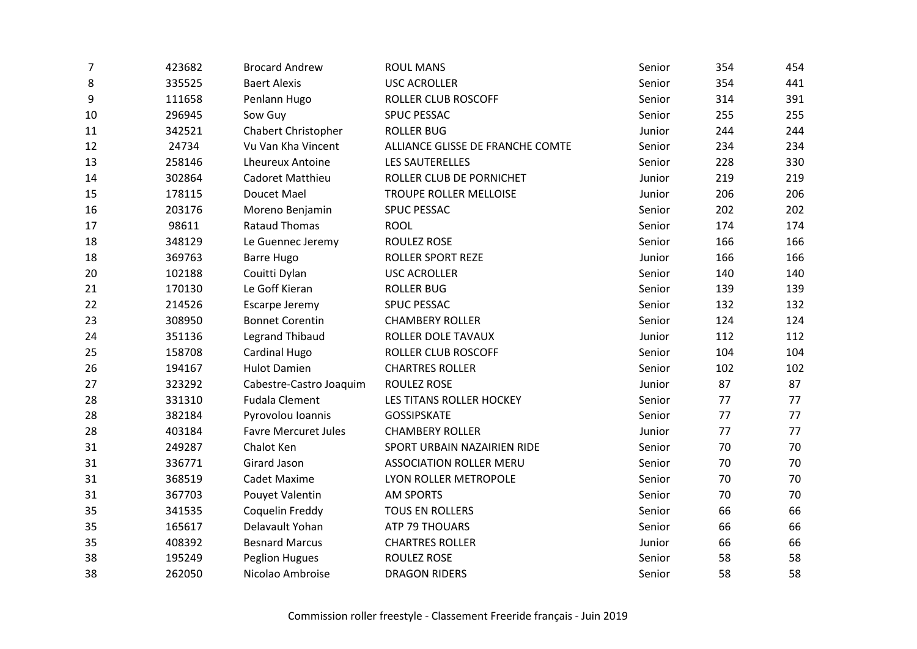| 7  | 423682 | <b>Brocard Andrew</b>       | <b>ROUL MANS</b>                 | Senior | 354 | 454 |
|----|--------|-----------------------------|----------------------------------|--------|-----|-----|
| 8  | 335525 | <b>Baert Alexis</b>         | <b>USC ACROLLER</b>              | Senior | 354 | 441 |
| 9  | 111658 | Penlann Hugo                | ROLLER CLUB ROSCOFF              | Senior | 314 | 391 |
| 10 | 296945 | Sow Guy                     | SPUC PESSAC                      | Senior | 255 | 255 |
| 11 | 342521 | Chabert Christopher         | <b>ROLLER BUG</b>                | Junior | 244 | 244 |
| 12 | 24734  | Vu Van Kha Vincent          | ALLIANCE GLISSE DE FRANCHE COMTE | Senior | 234 | 234 |
| 13 | 258146 | <b>Lheureux Antoine</b>     | <b>LES SAUTERELLES</b>           | Senior | 228 | 330 |
| 14 | 302864 | Cadoret Matthieu            | ROLLER CLUB DE PORNICHET         | Junior | 219 | 219 |
| 15 | 178115 | Doucet Mael                 | TROUPE ROLLER MELLOISE           | Junior | 206 | 206 |
| 16 | 203176 | Moreno Benjamin             | <b>SPUC PESSAC</b>               | Senior | 202 | 202 |
| 17 | 98611  | <b>Rataud Thomas</b>        | <b>ROOL</b>                      | Senior | 174 | 174 |
| 18 | 348129 | Le Guennec Jeremy           | ROULEZ ROSE                      | Senior | 166 | 166 |
| 18 | 369763 | <b>Barre Hugo</b>           | <b>ROLLER SPORT REZE</b>         | Junior | 166 | 166 |
| 20 | 102188 | Couitti Dylan               | <b>USC ACROLLER</b>              | Senior | 140 | 140 |
| 21 | 170130 | Le Goff Kieran              | <b>ROLLER BUG</b>                | Senior | 139 | 139 |
| 22 | 214526 | Escarpe Jeremy              | <b>SPUC PESSAC</b>               | Senior | 132 | 132 |
| 23 | 308950 | <b>Bonnet Corentin</b>      | <b>CHAMBERY ROLLER</b>           | Senior | 124 | 124 |
| 24 | 351136 | <b>Legrand Thibaud</b>      | ROLLER DOLE TAVAUX               | Junior | 112 | 112 |
| 25 | 158708 | Cardinal Hugo               | ROLLER CLUB ROSCOFF              | Senior | 104 | 104 |
| 26 | 194167 | <b>Hulot Damien</b>         | <b>CHARTRES ROLLER</b>           | Senior | 102 | 102 |
| 27 | 323292 | Cabestre-Castro Joaquim     | <b>ROULEZ ROSE</b>               | Junior | 87  | 87  |
| 28 | 331310 | <b>Fudala Clement</b>       | LES TITANS ROLLER HOCKEY         | Senior | 77  | 77  |
| 28 | 382184 | Pyrovolou Ioannis           | <b>GOSSIPSKATE</b>               | Senior | 77  | 77  |
| 28 | 403184 | <b>Favre Mercuret Jules</b> | <b>CHAMBERY ROLLER</b>           | Junior | 77  | 77  |
| 31 | 249287 | Chalot Ken                  | SPORT URBAIN NAZAIRIEN RIDE      | Senior | 70  | 70  |
| 31 | 336771 | Girard Jason                | <b>ASSOCIATION ROLLER MERU</b>   | Senior | 70  | 70  |
| 31 | 368519 | Cadet Maxime                | LYON ROLLER METROPOLE            | Senior | 70  | 70  |
| 31 | 367703 | Pouyet Valentin             | <b>AM SPORTS</b>                 | Senior | 70  | 70  |
| 35 | 341535 | Coquelin Freddy             | <b>TOUS EN ROLLERS</b>           | Senior | 66  | 66  |
| 35 | 165617 | Delavault Yohan             | ATP 79 THOUARS                   | Senior | 66  | 66  |
| 35 | 408392 | <b>Besnard Marcus</b>       | <b>CHARTRES ROLLER</b>           | Junior | 66  | 66  |
| 38 | 195249 | <b>Peglion Hugues</b>       | <b>ROULEZ ROSE</b>               | Senior | 58  | 58  |
| 38 | 262050 | Nicolao Ambroise            | <b>DRAGON RIDERS</b>             | Senior | 58  | 58  |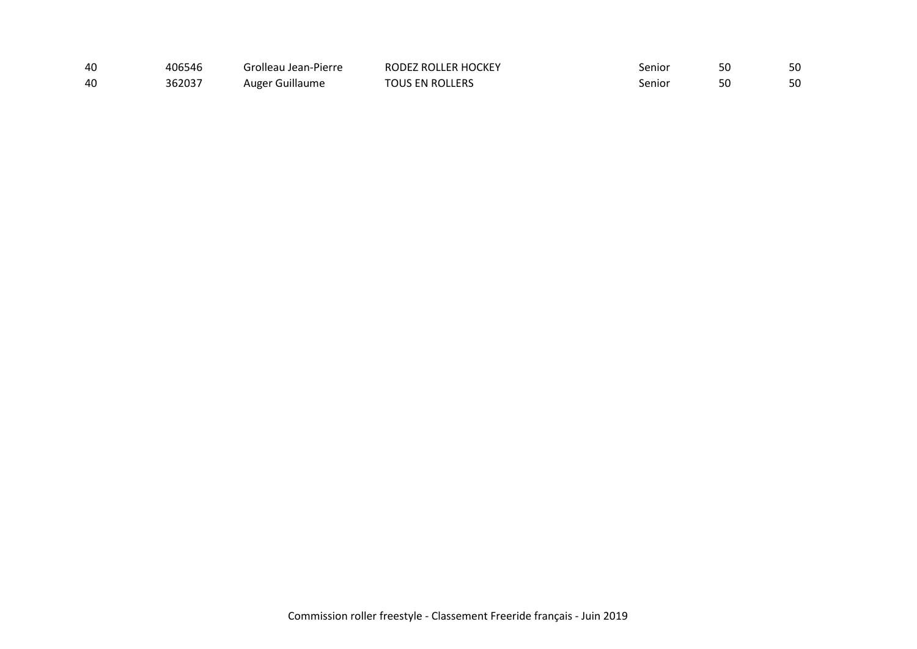| 40 | 406546 | Grolleau Jean-Pierre | RODEZ ROLLER HOCKEY | senior | 50 | 50 |
|----|--------|----------------------|---------------------|--------|----|----|
| 40 | 362037 | Auger Guillaume      | TOUS EN ROLLERS     | senior | 50 | 50 |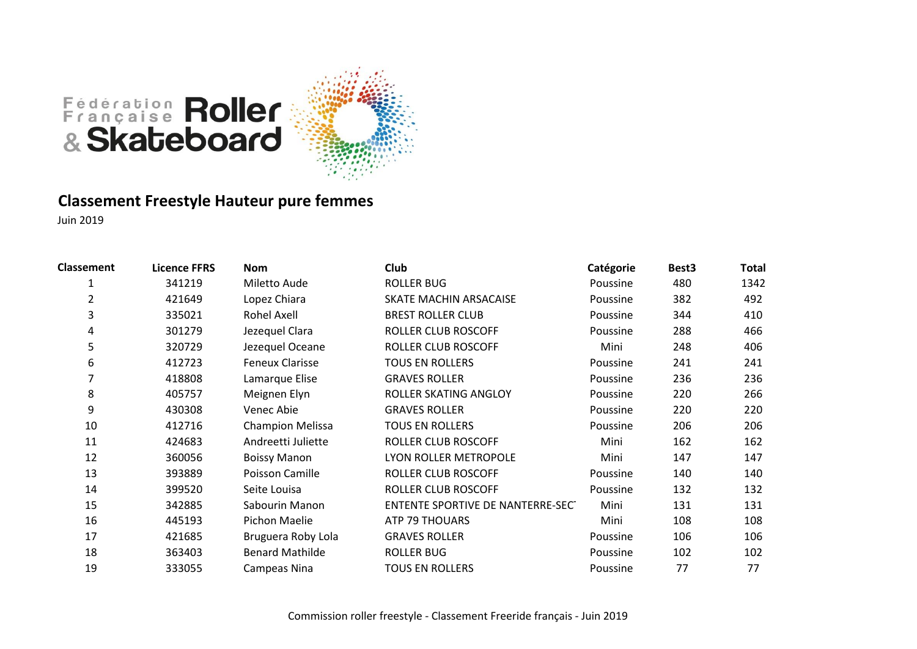

### **Classement Freestyle Hauteur pure femmes**

| <b>Classement</b> | <b>Licence FFRS</b> | <b>Nom</b>              | Club                              | Catégorie | Best <sub>3</sub> | Total |
|-------------------|---------------------|-------------------------|-----------------------------------|-----------|-------------------|-------|
| 1                 | 341219              | Miletto Aude            | <b>ROLLER BUG</b>                 | Poussine  | 480               | 1342  |
| 2                 | 421649              | Lopez Chiara            | <b>SKATE MACHIN ARSACAISE</b>     | Poussine  | 382               | 492   |
| 3                 | 335021              | <b>Rohel Axell</b>      | <b>BREST ROLLER CLUB</b>          | Poussine  | 344               | 410   |
| 4                 | 301279              | Jezequel Clara          | ROLLER CLUB ROSCOFF               | Poussine  | 288               | 466   |
| 5                 | 320729              | Jezequel Oceane         | ROLLER CLUB ROSCOFF               | Mini      | 248               | 406   |
| 6                 | 412723              | <b>Feneux Clarisse</b>  | <b>TOUS EN ROLLERS</b>            | Poussine  | 241               | 241   |
|                   | 418808              | Lamarque Elise          | <b>GRAVES ROLLER</b>              | Poussine  | 236               | 236   |
| 8                 | 405757              | Meignen Elyn            | ROLLER SKATING ANGLOY             | Poussine  | 220               | 266   |
| 9                 | 430308              | Venec Abie              | <b>GRAVES ROLLER</b>              | Poussine  | 220               | 220   |
| 10                | 412716              | <b>Champion Melissa</b> | <b>TOUS EN ROLLERS</b>            | Poussine  | 206               | 206   |
| 11                | 424683              | Andreetti Juliette      | ROLLER CLUB ROSCOFF               | Mini      | 162               | 162   |
| 12                | 360056              | <b>Boissy Manon</b>     | LYON ROLLER METROPOLE             | Mini      | 147               | 147   |
| 13                | 393889              | Poisson Camille         | ROLLER CLUB ROSCOFF               | Poussine  | 140               | 140   |
| 14                | 399520              | Seite Louisa            | <b>ROLLER CLUB ROSCOFF</b>        | Poussine  | 132               | 132   |
| 15                | 342885              | Sabourin Manon          | ENTENTE SPORTIVE DE NANTERRE-SECT | Mini      | 131               | 131   |
| 16                | 445193              | Pichon Maelie           | ATP 79 THOUARS                    | Mini      | 108               | 108   |
| 17                | 421685              | Bruguera Roby Lola      | <b>GRAVES ROLLER</b>              | Poussine  | 106               | 106   |
| 18                | 363403              | <b>Benard Mathilde</b>  | <b>ROLLER BUG</b>                 | Poussine  | 102               | 102   |
| 19                | 333055              | Campeas Nina            | <b>TOUS EN ROLLERS</b>            | Poussine  | 77                | 77    |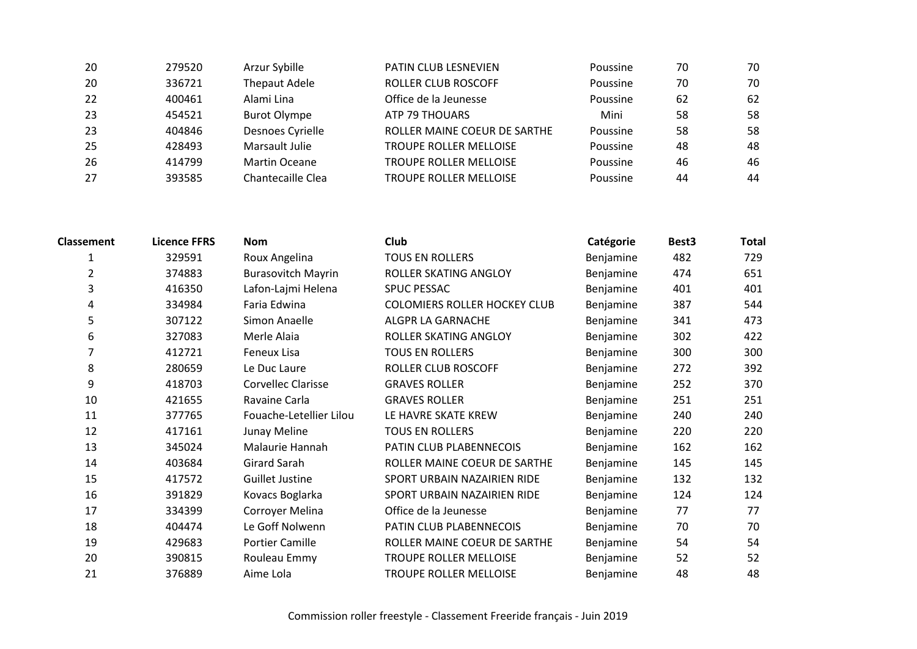| 20 | 279520 | Arzur Sybille        | <b>PATIN CLUB LESNEVIEN</b>   | Poussine | 70 | 70 |
|----|--------|----------------------|-------------------------------|----------|----|----|
| 20 | 336721 | <b>Thepaut Adele</b> | <b>ROLLER CLUB ROSCOFF</b>    | Poussine | 70 | 70 |
| 22 | 400461 | Alami Lina           | Office de la Jeunesse         | Poussine | 62 | 62 |
| 23 | 454521 | <b>Burot Olympe</b>  | ATP 79 THOUARS                | Mini     | 58 | 58 |
| 23 | 404846 | Desnoes Cyrielle     | ROLLER MAINE COEUR DE SARTHE  | Poussine | 58 | 58 |
| 25 | 428493 | Marsault Julie       | <b>TROUPE ROLLER MELLOISE</b> | Poussine | 48 | 48 |
| 26 | 414799 | <b>Martin Oceane</b> | <b>TROUPE ROLLER MELLOISE</b> | Poussine | 46 | 46 |
| 27 | 393585 | Chantecaille Clea    | <b>TROUPE ROLLER MELLOISE</b> | Poussine | 44 | 44 |

| <b>Classement</b> | <b>Licence FFRS</b> | <b>Nom</b>                | <b>Club</b>                         | Catégorie | Best <sub>3</sub> | <b>Total</b> |
|-------------------|---------------------|---------------------------|-------------------------------------|-----------|-------------------|--------------|
|                   | 329591              | Roux Angelina             | <b>TOUS EN ROLLERS</b>              | Benjamine | 482               | 729          |
| 2                 | 374883              | <b>Burasovitch Mayrin</b> | ROLLER SKATING ANGLOY               | Benjamine | 474               | 651          |
| 3                 | 416350              | Lafon-Lajmi Helena        | <b>SPUC PESSAC</b>                  | Benjamine | 401               | 401          |
| 4                 | 334984              | Faria Edwina              | <b>COLOMIERS ROLLER HOCKEY CLUB</b> | Benjamine | 387               | 544          |
| 5                 | 307122              | Simon Anaelle             | ALGPR LA GARNACHE                   | Benjamine | 341               | 473          |
| 6                 | 327083              | Merle Alaia               | ROLLER SKATING ANGLOY               | Benjamine | 302               | 422          |
| 7                 | 412721              | Feneux Lisa               | <b>TOUS EN ROLLERS</b>              | Benjamine | 300               | 300          |
| 8                 | 280659              | Le Duc Laure              | ROLLER CLUB ROSCOFF                 | Benjamine | 272               | 392          |
| 9                 | 418703              | <b>Corvellec Clarisse</b> | <b>GRAVES ROLLER</b>                | Benjamine | 252               | 370          |
| 10                | 421655              | Ravaine Carla             | <b>GRAVES ROLLER</b>                | Benjamine | 251               | 251          |
| 11                | 377765              | Fouache-Letellier Lilou   | LE HAVRE SKATE KREW                 | Benjamine | 240               | 240          |
| 12                | 417161              | Junay Meline              | <b>TOUS EN ROLLERS</b>              | Benjamine | 220               | 220          |
| 13                | 345024              | Malaurie Hannah           | PATIN CLUB PLABENNECOIS             | Benjamine | 162               | 162          |
| 14                | 403684              | <b>Girard Sarah</b>       | ROLLER MAINE COEUR DE SARTHE        | Benjamine | 145               | 145          |
| 15                | 417572              | <b>Guillet Justine</b>    | SPORT URBAIN NAZAIRIEN RIDE         | Benjamine | 132               | 132          |
| 16                | 391829              | Kovacs Boglarka           | SPORT URBAIN NAZAIRIEN RIDE         | Benjamine | 124               | 124          |
| 17                | 334399              | Corroyer Melina           | Office de la Jeunesse               | Benjamine | 77                | 77           |
| 18                | 404474              | Le Goff Nolwenn           | PATIN CLUB PLABENNECOIS             | Benjamine | 70                | 70           |
| 19                | 429683              | <b>Portier Camille</b>    | ROLLER MAINE COEUR DE SARTHE        | Benjamine | 54                | 54           |
| 20                | 390815              | Rouleau Emmy              | <b>TROUPE ROLLER MELLOISE</b>       | Benjamine | 52                | 52           |
| 21                | 376889              | Aime Lola                 | <b>TROUPE ROLLER MELLOISE</b>       | Benjamine | 48                | 48           |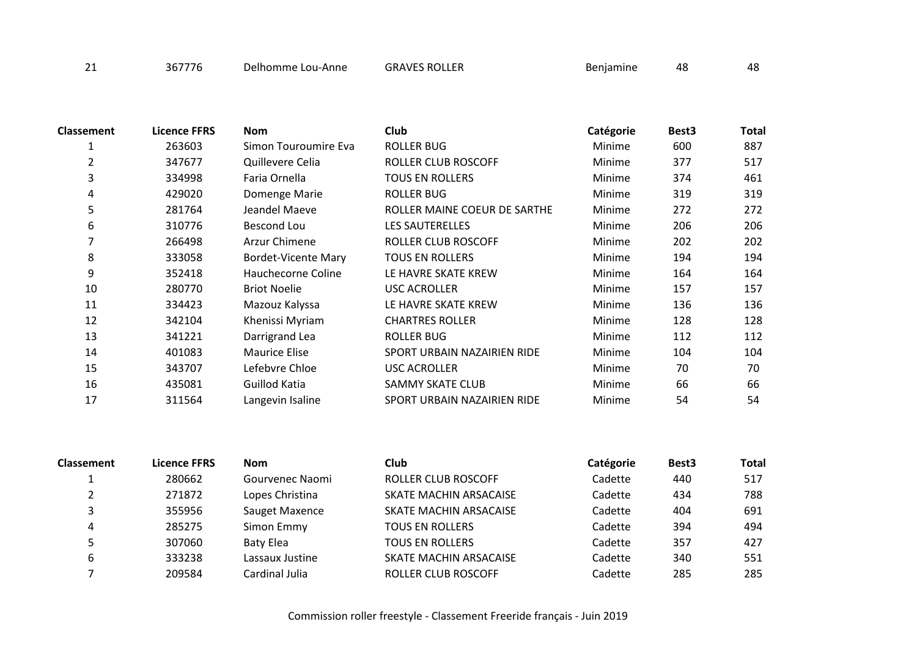| <b>Classement</b> | <b>Licence FFRS</b> | <b>Nom</b>                 | <b>Club</b>                  | Catégorie | Best <sub>3</sub> | Total |
|-------------------|---------------------|----------------------------|------------------------------|-----------|-------------------|-------|
|                   | 263603              | Simon Touroumire Eva       | <b>ROLLER BUG</b>            | Minime    | 600               | 887   |
| 2                 | 347677              | Quillevere Celia           | ROLLER CLUB ROSCOFF          | Minime    | 377               | 517   |
| 3                 | 334998              | Faria Ornella              | <b>TOUS EN ROLLERS</b>       | Minime    | 374               | 461   |
| 4                 | 429020              | Domenge Marie              | <b>ROLLER BUG</b>            | Minime    | 319               | 319   |
| 5                 | 281764              | Jeandel Maeve              | ROLLER MAINE COEUR DE SARTHE | Minime    | 272               | 272   |
| 6                 | 310776              | Bescond Lou                | <b>LES SAUTERELLES</b>       | Minime    | 206               | 206   |
| 7                 | 266498              | Arzur Chimene              | ROLLER CLUB ROSCOFF          | Minime    | 202               | 202   |
| 8                 | 333058              | <b>Bordet-Vicente Mary</b> | <b>TOUS EN ROLLERS</b>       | Minime    | 194               | 194   |
| 9                 | 352418              | Hauchecorne Coline         | LE HAVRE SKATE KREW          | Minime    | 164               | 164   |
| 10                | 280770              | <b>Briot Noelie</b>        | <b>USC ACROLLER</b>          | Minime    | 157               | 157   |
| 11                | 334423              | Mazouz Kalyssa             | LE HAVRE SKATE KREW          | Minime    | 136               | 136   |
| 12                | 342104              | Khenissi Myriam            | <b>CHARTRES ROLLER</b>       | Minime    | 128               | 128   |
| 13                | 341221              | Darrigrand Lea             | ROLLER BUG                   | Minime    | 112               | 112   |
| 14                | 401083              | <b>Maurice Elise</b>       | SPORT URBAIN NAZAIRIEN RIDE  | Minime    | 104               | 104   |
| 15                | 343707              | Lefebvre Chloe             | <b>USC ACROLLER</b>          | Minime    | 70                | 70    |
| 16                | 435081              | Guillod Katia              | SAMMY SKATE CLUB             | Minime    | 66                | 66    |
| 17                | 311564              | Langevin Isaline           | SPORT URBAIN NAZAIRIEN RIDE  | Minime    | 54                | 54    |

| <b>Classement</b> | <b>Licence FFRS</b> | <b>Nom</b>       | <b>Club</b>                | Catégorie | Best <sub>3</sub> | <b>Total</b> |
|-------------------|---------------------|------------------|----------------------------|-----------|-------------------|--------------|
|                   | 280662              | Gourvenec Naomi  | ROLLER CLUB ROSCOFF        | Cadette   | 440               | 517          |
|                   | 271872              | Lopes Christina  | SKATE MACHIN ARSACAISE     | Cadette   | 434               | 788          |
| 3                 | 355956              | Sauget Maxence   | SKATE MACHIN ARSACAISE     | Cadette   | 404               | 691          |
| 4                 | 285275              | Simon Emmy       | <b>TOUS EN ROLLERS</b>     | Cadette   | 394               | 494          |
|                   | 307060              | <b>Baty Elea</b> | <b>TOUS EN ROLLERS</b>     | Cadette   | 357               | 427          |
| 6                 | 333238              | Lassaux Justine  | SKATE MACHIN ARSACAISE     | Cadette   | 340               | 551          |
|                   | 209584              | Cardinal Julia   | <b>ROLLER CLUB ROSCOFF</b> | Cadette   | 285               | 285          |